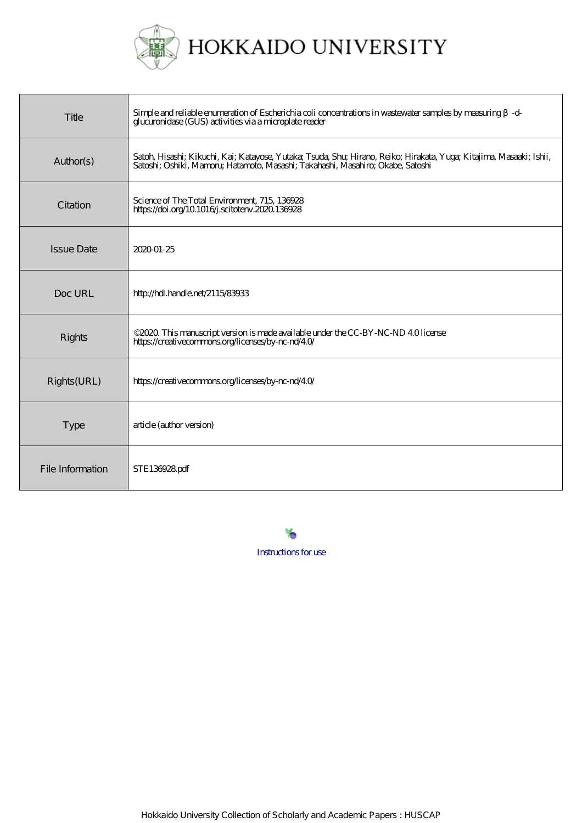

| Title             | Simple and reliable enumeration of Escherichia coli concentrations in wastewater samples by measuring - d-<br>glucuronidase (GUS) activities via a microplate reader                                    |
|-------------------|---------------------------------------------------------------------------------------------------------------------------------------------------------------------------------------------------------|
| Author(s)         | Satoh, Hisashi; Kikuchi, Kai; Katayose, Yutaka; Tsuda, Shu; Hirano, Reiko; Hirakata, Yuga; Kitajima, Masaaki; Ishii,<br>Satoshi; Oshiki, Mamoru; Hatamoto, Masashi; Takahashi, Masahiro; Okabe, Satoshi |
| Citation          | Science of The Total Environment, 715, 136928<br>https://doi.org/10.1016/j.scitotenv.2020.136928                                                                                                        |
| <b>Issue Date</b> | 202001-25                                                                                                                                                                                               |
| Doc URL           | http://hdl.handle.net/2115/83933                                                                                                                                                                        |
| Rights            | © 2020 This manuscript version is made available under the CC-BY-NC-ND 40 license<br>https://creativecommons.org/licenses/by-nc-nd/40/                                                                  |
| Rights(URL)       | https://creativecommons.org/licenses/by-nc-nd/40/                                                                                                                                                       |
| <b>Type</b>       | article (author version)                                                                                                                                                                                |
| File Information  | STE136928pdf                                                                                                                                                                                            |

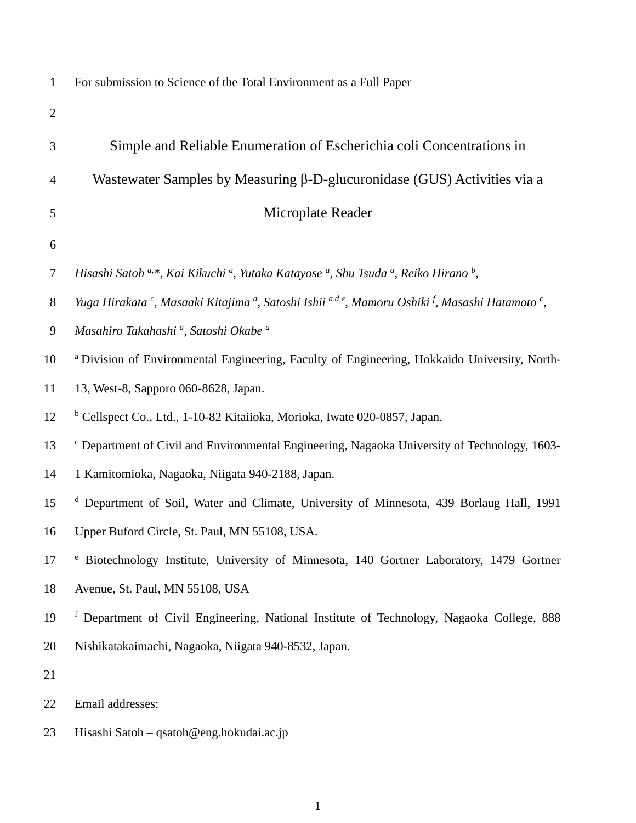| $\mathbf{1}$   | For submission to Science of the Total Environment as a Full Paper                                                                                         |
|----------------|------------------------------------------------------------------------------------------------------------------------------------------------------------|
| $\overline{2}$ |                                                                                                                                                            |
| 3              | Simple and Reliable Enumeration of Escherichia coli Concentrations in                                                                                      |
| 4              | Wastewater Samples by Measuring $\beta$ -D-glucuronidase (GUS) Activities via a                                                                            |
| 5              | Microplate Reader                                                                                                                                          |
| 6              |                                                                                                                                                            |
| 7              | Hisashi Satoh <sup>a, *</sup> , Kai Kikuchi <sup>a</sup> , Yutaka Katayose <sup>a</sup> , Shu Tsuda <sup>a</sup> , Reiko Hirano <sup>b</sup> ,             |
| $8\,$          | Yuga Hirakata <sup>c</sup> , Masaaki Kitajima <sup>a</sup> , Satoshi Ishii <sup>a,d,e</sup> , Mamoru Oshiki <sup>f</sup> , Masashi Hatamoto <sup>c</sup> , |
| 9              | Masahiro Takahashi <sup>a</sup> , Satoshi Okabe <sup>a</sup>                                                                                               |
| 10             | <sup>a</sup> Division of Environmental Engineering, Faculty of Engineering, Hokkaido University, North-                                                    |
| 11             | 13, West-8, Sapporo 060-8628, Japan.                                                                                                                       |
| 12             | <sup>b</sup> Cellspect Co., Ltd., 1-10-82 Kitaiioka, Morioka, Iwate 020-0857, Japan.                                                                       |
| 13             | <sup>c</sup> Department of Civil and Environmental Engineering, Nagaoka University of Technology, 1603-                                                    |
| 14             | 1 Kamitomioka, Nagaoka, Niigata 940-2188, Japan.                                                                                                           |
| 15             | <sup>d</sup> Department of Soil, Water and Climate, University of Minnesota, 439 Borlaug Hall, 1991                                                        |
| 16             | Upper Buford Circle, St. Paul, MN 55108, USA.                                                                                                              |
| 17             | Biotechnology Institute, University of Minnesota, 140 Gortner Laboratory, 1479 Gortner                                                                     |
| 18             | Avenue, St. Paul, MN 55108, USA                                                                                                                            |
| 19             | <sup>f</sup> Department of Civil Engineering, National Institute of Technology, Nagaoka College, 888                                                       |
| 20             | Nishikatakaimachi, Nagaoka, Niigata 940-8532, Japan.                                                                                                       |
| 21             |                                                                                                                                                            |
| 22             | Email addresses:                                                                                                                                           |
|                |                                                                                                                                                            |

23 Hisashi Satoh – qsatoh@eng.hokudai.ac.jp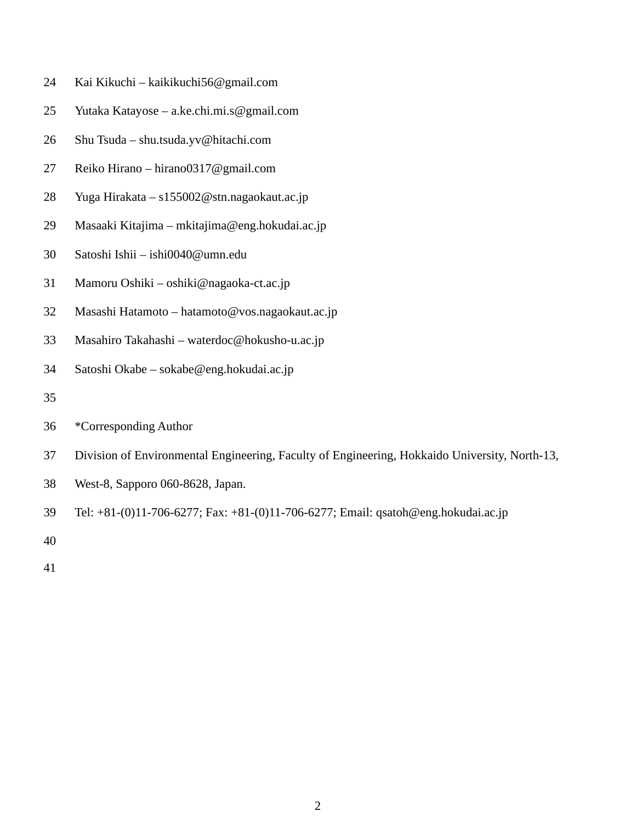- Kai Kikuchi kaikikuchi56@gmail.com
- Yutaka Katayose a.ke.chi.mi.s@gmail.com
- Shu Tsuda shu.tsuda.yv@hitachi.com
- Reiko Hirano hirano0317@gmail.com
- Yuga Hirakata s155002@stn.nagaokaut.ac.jp
- Masaaki Kitajima mkitajima@eng.hokudai.ac.jp
- Satoshi Ishii ishi0040@umn.edu
- Mamoru Oshiki oshiki@nagaoka-ct.ac.jp
- Masashi Hatamoto hatamoto@vos.nagaokaut.ac.jp
- Masahiro Takahashi waterdoc@hokusho-u.ac.jp
- Satoshi Okabe sokabe@eng.hokudai.ac.jp
- 
- \*Corresponding Author
- Division of Environmental Engineering, Faculty of Engineering, Hokkaido University, North-13,
- West-8, Sapporo 060-8628, Japan.
- Tel: +81-(0)11-706-6277; Fax: +81-(0)11-706-6277; Email: qsatoh@eng.hokudai.ac.jp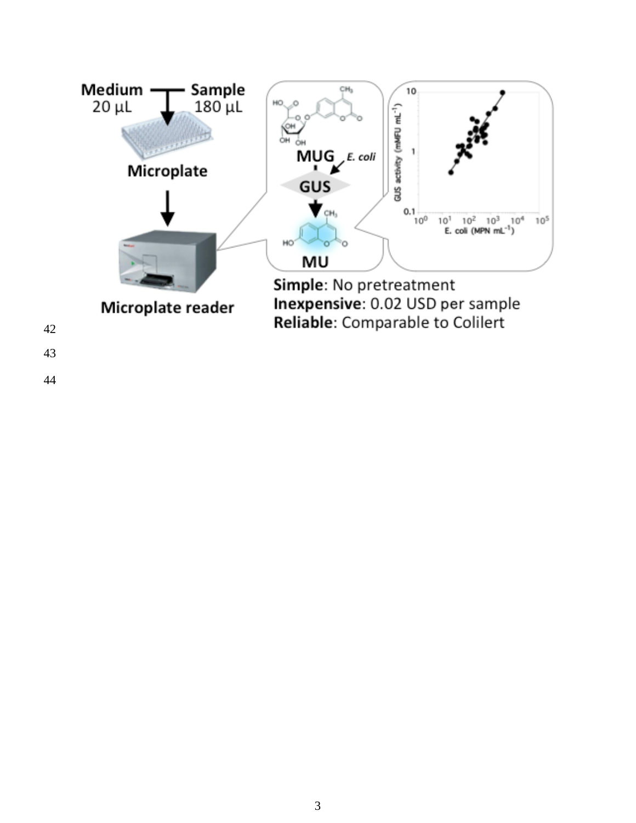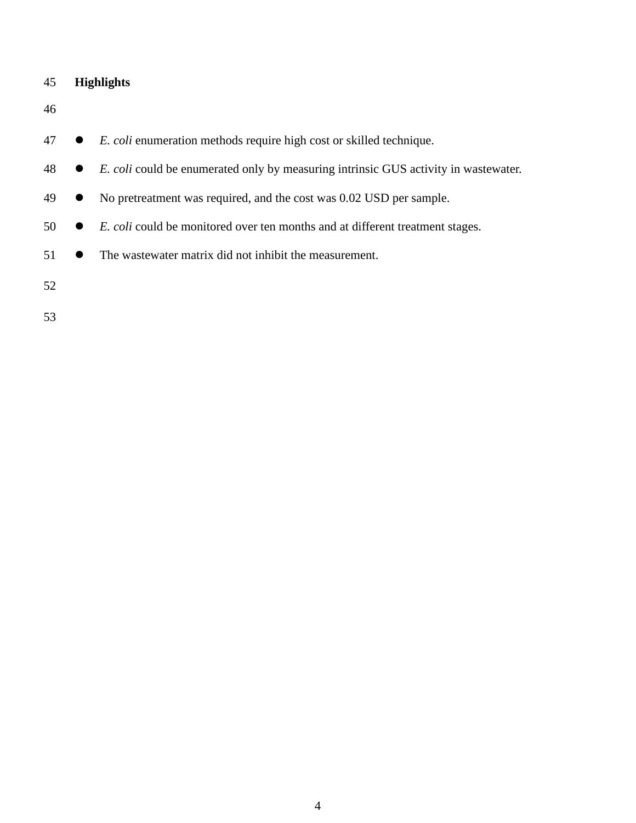# **Highlights**

| 47 |  |  | <i>E. coli</i> enumeration methods require high cost or skilled technique. |  |  |  |  |  |
|----|--|--|----------------------------------------------------------------------------|--|--|--|--|--|
|----|--|--|----------------------------------------------------------------------------|--|--|--|--|--|

- *E. coli* could be enumerated only by measuring intrinsic GUS activity in wastewater.
- No pretreatment was required, and the cost was 0.02 USD per sample.
- *E. coli* could be monitored over ten months and at different treatment stages.
- 51 The wastewater matrix did not inhibit the measurement.
-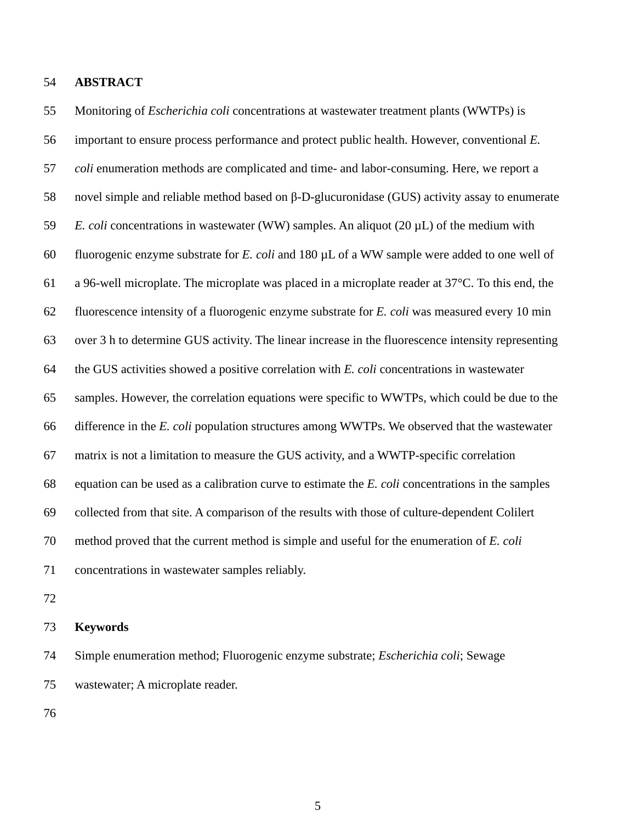#### **ABSTRACT**

 Monitoring of *Escherichia coli* concentrations at wastewater treatment plants (WWTPs) is important to ensure process performance and protect public health. However, conventional *E. coli* enumeration methods are complicated and time- and labor-consuming. Here, we report a novel simple and reliable method based on β-D-glucuronidase (GUS) activity assay to enumerate *E. coli* concentrations in wastewater (WW) samples. An aliquot (20 µL) of the medium with fluorogenic enzyme substrate for *E. coli* and 180 µL of a WW sample were added to one well of a 96-well microplate. The microplate was placed in a microplate reader at 37°C. To this end, the fluorescence intensity of a fluorogenic enzyme substrate for *E. coli* was measured every 10 min over 3 h to determine GUS activity. The linear increase in the fluorescence intensity representing the GUS activities showed a positive correlation with *E. coli* concentrations in wastewater samples. However, the correlation equations were specific to WWTPs, which could be due to the difference in the *E. coli* population structures among WWTPs. We observed that the wastewater matrix is not a limitation to measure the GUS activity, and a WWTP-specific correlation equation can be used as a calibration curve to estimate the *E. coli* concentrations in the samples collected from that site. A comparison of the results with those of culture-dependent Colilert method proved that the current method is simple and useful for the enumeration of *E. coli* concentrations in wastewater samples reliably.

#### **Keywords**

 Simple enumeration method; Fluorogenic enzyme substrate; *Escherichia coli*; Sewage wastewater; A microplate reader.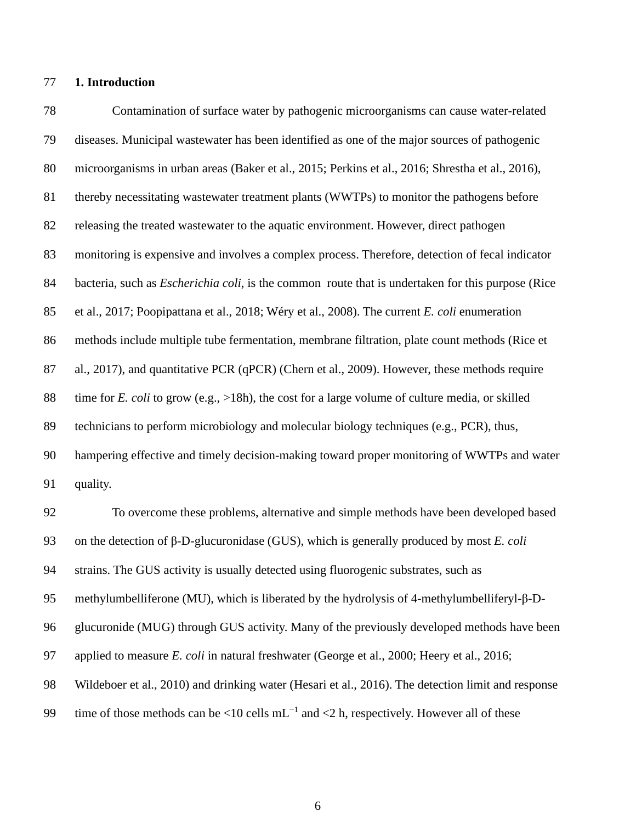**1. Introduction**

 Contamination of surface water by pathogenic microorganisms can cause water-related diseases. Municipal wastewater has been identified as one of the major sources of pathogenic microorganisms in urban areas (Baker et al., 2015; Perkins et al., 2016; Shrestha et al., 2016), thereby necessitating wastewater treatment plants (WWTPs) to monitor the pathogens before releasing the treated wastewater to the aquatic environment. However, direct pathogen monitoring is expensive and involves a complex process. Therefore, detection of fecal indicator bacteria, such as *Escherichia coli*, is the common route that is undertaken for this purpose (Rice et al., 2017; Poopipattana et al., 2018; Wéry et al., 2008). The current *E. coli* enumeration methods include multiple tube fermentation, membrane filtration, plate count methods (Rice et al., 2017), and quantitative PCR (qPCR) (Chern et al., 2009). However, these methods require time for *E. coli* to grow (e.g., >18h), the cost for a large volume of culture media, or skilled technicians to perform microbiology and molecular biology techniques (e.g., PCR), thus, hampering effective and timely decision-making toward proper monitoring of WWTPs and water quality. To overcome these problems, alternative and simple methods have been developed based on the detection of β-D-glucuronidase (GUS), which is generally produced by most *E. coli* strains. The GUS activity is usually detected using fluorogenic substrates, such as methylumbelliferone (MU), which is liberated by the hydrolysis of 4-methylumbelliferyl-β-D- glucuronide (MUG) through GUS activity. Many of the previously developed methods have been applied to measure *E. coli* in natural freshwater (George et al., 2000; Heery et al., 2016; Wildeboer et al., 2010) and drinking water (Hesari et al., 2016). The detection limit and response

99 time of those methods can be <10 cells  $mL^{-1}$  and <2 h, respectively. However all of these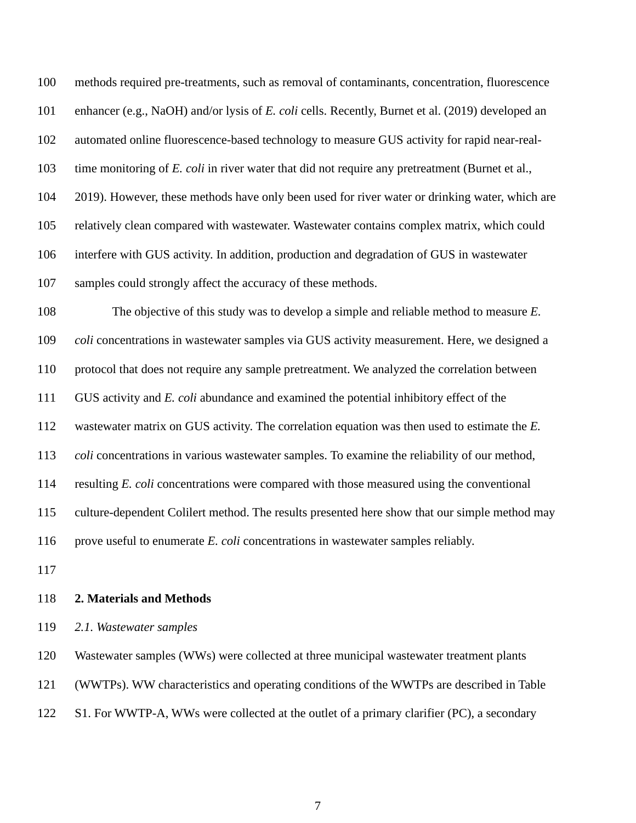methods required pre-treatments, such as removal of contaminants, concentration, fluorescence enhancer (e.g., NaOH) and/or lysis of *E. coli* cells. Recently, Burnet et al. (2019) developed an automated online fluorescence-based technology to measure GUS activity for rapid near-real- time monitoring of *E. coli* in river water that did not require any pretreatment (Burnet et al., 2019). However, these methods have only been used for river water or drinking water, which are relatively clean compared with wastewater. Wastewater contains complex matrix, which could interfere with GUS activity. In addition, production and degradation of GUS in wastewater samples could strongly affect the accuracy of these methods.

 The objective of this study was to develop a simple and reliable method to measure *E. coli* concentrations in wastewater samples via GUS activity measurement. Here, we designed a protocol that does not require any sample pretreatment. We analyzed the correlation between GUS activity and *E. coli* abundance and examined the potential inhibitory effect of the wastewater matrix on GUS activity. The correlation equation was then used to estimate the *E. coli* concentrations in various wastewater samples. To examine the reliability of our method, resulting *E. coli* concentrations were compared with those measured using the conventional culture-dependent Colilert method. The results presented here show that our simple method may prove useful to enumerate *E. coli* concentrations in wastewater samples reliably.

#### **2. Materials and Methods**

*2.1. Wastewater samples*

 Wastewater samples (WWs) were collected at three municipal wastewater treatment plants (WWTPs). WW characteristics and operating conditions of the WWTPs are described in Table S1. For WWTP-A, WWs were collected at the outlet of a primary clarifier (PC), a secondary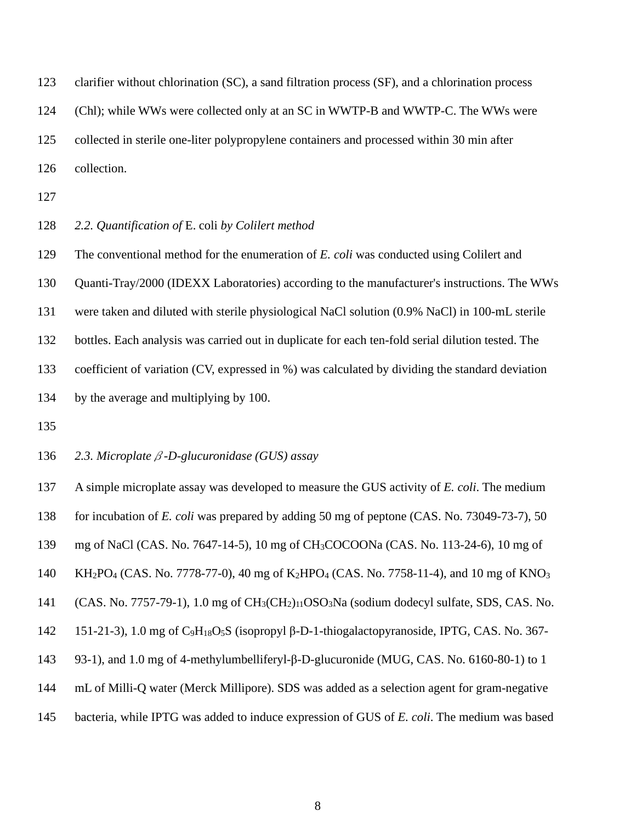clarifier without chlorination (SC), a sand filtration process (SF), and a chlorination process (Chl); while WWs were collected only at an SC in WWTP-B and WWTP-C. The WWs were collected in sterile one-liter polypropylene containers and processed within 30 min after collection.

# *2.2. Quantification of* E. coli *by Colilert method*

The conventional method for the enumeration of *E. coli* was conducted using Colilert and

Quanti-Tray/2000 (IDEXX Laboratories) according to the manufacturer's instructions. The WWs

were taken and diluted with sterile physiological NaCl solution (0.9% NaCl) in 100-mL sterile

bottles. Each analysis was carried out in duplicate for each ten-fold serial dilution tested. The

coefficient of variation (CV, expressed in %) was calculated by dividing the standard deviation

by the average and multiplying by 100.

# *2.3. Microplate*β*-D-glucuronidase (GUS) assay*

 A simple microplate assay was developed to measure the GUS activity of *E. coli*. The medium for incubation of *E. coli* was prepared by adding 50 mg of peptone (CAS. No. 73049-73-7), 50 mg of NaCl (CAS. No. 7647-14-5), 10 mg of CH3COCOONa (CAS. No. 113-24-6), 10 mg of 140 KH<sub>2</sub>PO<sub>4</sub> (CAS. No. 7778-77-0), 40 mg of K<sub>2</sub>HPO<sub>4</sub> (CAS. No. 7758-11-4), and 10 mg of KNO<sub>3</sub> (CAS. No. 7757-79-1), 1.0 mg of CH3(CH2)11OSO3Na (sodium dodecyl sulfate, SDS, CAS. No. 151-21-3), 1.0 mg of C9H18O5S (isopropyl β-D-1-thiogalactopyranoside, IPTG, CAS. No. 367- 93-1), and 1.0 mg of 4-methylumbelliferyl-β-D-glucuronide (MUG, CAS. No. 6160-80-1) to 1 mL of Milli-Q water (Merck Millipore). SDS was added as a selection agent for gram-negative bacteria, while IPTG was added to induce expression of GUS of *E. coli*. The medium was based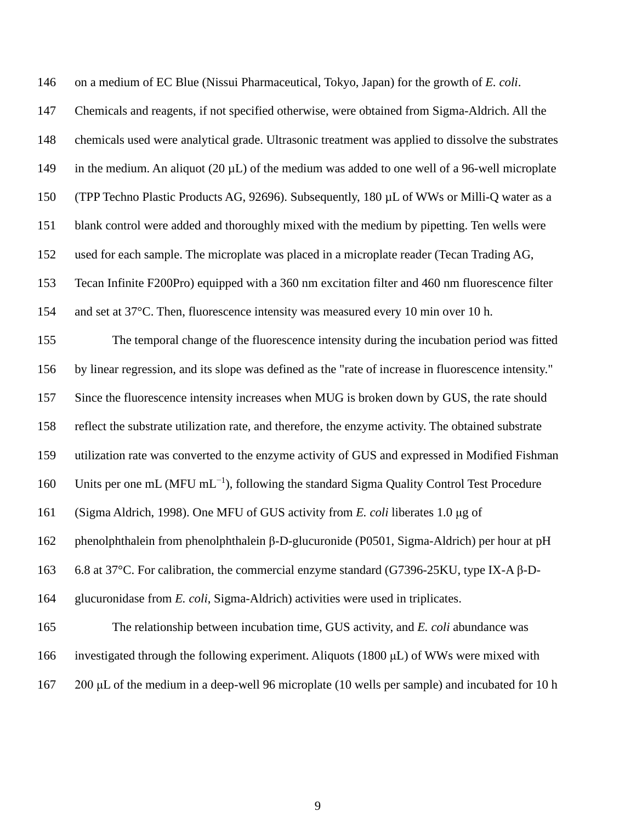| 146 | on a medium of EC Blue (Nissui Pharmaceutical, Tokyo, Japan) for the growth of E. coli.                      |
|-----|--------------------------------------------------------------------------------------------------------------|
| 147 | Chemicals and reagents, if not specified otherwise, were obtained from Sigma-Aldrich. All the                |
| 148 | chemicals used were analytical grade. Ultrasonic treatment was applied to dissolve the substrates            |
| 149 | in the medium. An aliquot $(20 \mu L)$ of the medium was added to one well of a 96-well microplate           |
| 150 | (TPP Techno Plastic Products AG, 92696). Subsequently, 180 µL of WWs or Milli-Q water as a                   |
| 151 | blank control were added and thoroughly mixed with the medium by pipetting. Ten wells were                   |
| 152 | used for each sample. The microplate was placed in a microplate reader (Tecan Trading AG,                    |
| 153 | Tecan Infinite F200Pro) equipped with a 360 nm excitation filter and 460 nm fluorescence filter              |
| 154 | and set at 37°C. Then, fluorescence intensity was measured every 10 min over 10 h.                           |
| 155 | The temporal change of the fluorescence intensity during the incubation period was fitted                    |
| 156 | by linear regression, and its slope was defined as the "rate of increase in fluorescence intensity."         |
| 157 | Since the fluorescence intensity increases when MUG is broken down by GUS, the rate should                   |
| 158 | reflect the substrate utilization rate, and therefore, the enzyme activity. The obtained substrate           |
| 159 | utilization rate was converted to the enzyme activity of GUS and expressed in Modified Fishman               |
| 160 | Units per one mL ( $MFU$ mL <sup>-1</sup> ), following the standard Sigma Quality Control Test Procedure     |
| 161 | (Sigma Aldrich, 1998). One MFU of GUS activity from E. coli liberates 1.0 µg of                              |
| 162 | phenolphthalein from phenolphthalein $\beta$ -D-glucuronide (P0501, Sigma-Aldrich) per hour at pH            |
| 163 | 6.8 at 37 <sup>o</sup> C. For calibration, the commercial enzyme standard (G7396-25KU, type IX-A $\beta$ -D- |
| 164 | glucuronidase from E. coli, Sigma-Aldrich) activities were used in triplicates.                              |
| 165 | The relationship between incubation time, GUS activity, and E. coli abundance was                            |
| 166 | investigated through the following experiment. Aliquots (1800 µL) of WWs were mixed with                     |
| 167 | 200 μL of the medium in a deep-well 96 microplate (10 wells per sample) and incubated for 10 h               |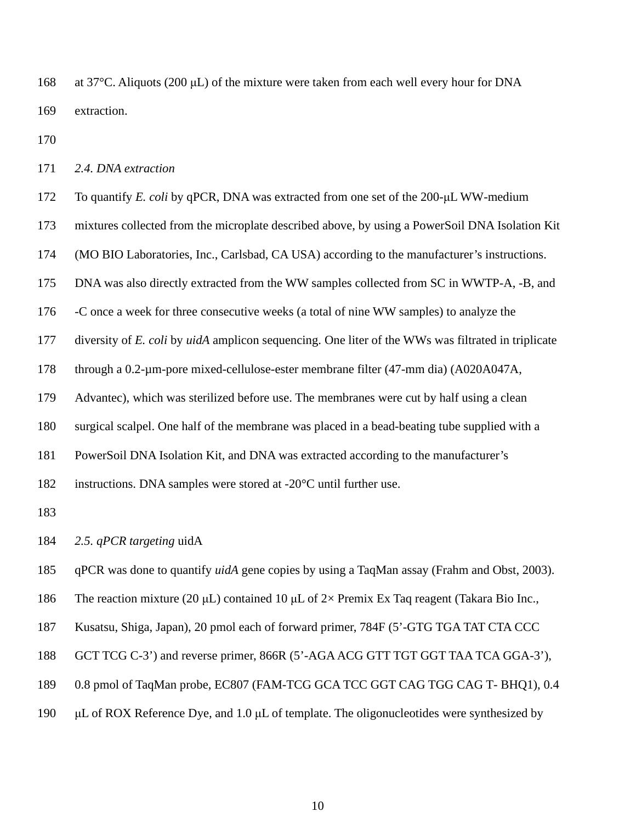168 at  $37^{\circ}$ C. Aliquots (200 µL) of the mixture were taken from each well every hour for DNA extraction.

*2.4. DNA extraction*

To quantify *E. coli* by qPCR, DNA was extracted from one set of the 200-μL WW-medium

mixtures collected from the microplate described above, by using a PowerSoil DNA Isolation Kit

(MO BIO Laboratories, Inc., Carlsbad, CA USA) according to the manufacturer's instructions.

DNA was also directly extracted from the WW samples collected from SC in WWTP-A, -B, and

-C once a week for three consecutive weeks (a total of nine WW samples) to analyze the

diversity of *E. coli* by *uidA* amplicon sequencing. One liter of the WWs was filtrated in triplicate

through a 0.2-µm-pore mixed-cellulose-ester membrane filter (47-mm dia) (A020A047A,

Advantec), which was sterilized before use. The membranes were cut by half using a clean

surgical scalpel. One half of the membrane was placed in a bead-beating tube supplied with a

PowerSoil DNA Isolation Kit, and DNA was extracted according to the manufacturer's

instructions. DNA samples were stored at -20°C until further use.

*2.5. qPCR targeting* uidA

qPCR was done to quantify *uidA* gene copies by using a TaqMan assay (Frahm and Obst, 2003).

186 The reaction mixture (20  $\mu$ L) contained 10  $\mu$ L of 2× Premix Ex Taq reagent (Takara Bio Inc.,

Kusatsu, Shiga, Japan), 20 pmol each of forward primer, 784F (5'-GTG TGA TAT CTA CCC

GCT TCG C-3') and reverse primer, 866R (5'-AGA ACG GTT TGT GGT TAA TCA GGA-3'),

0.8 pmol of TaqMan probe, EC807 (FAM-TCG GCA TCC GGT CAG TGG CAG T- BHQ1), 0.4

μL of ROX Reference Dye, and 1.0 μL of template. The oligonucleotides were synthesized by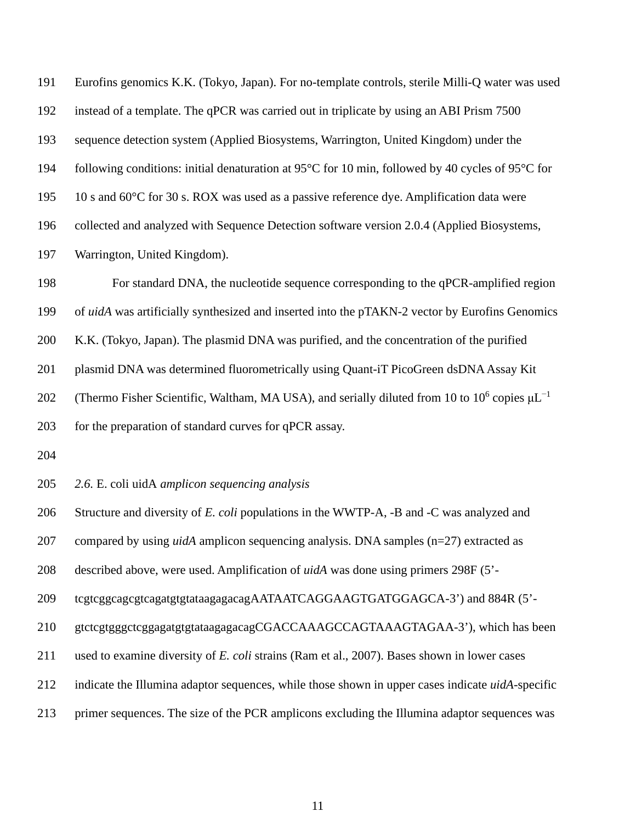Eurofins genomics K.K. (Tokyo, Japan). For no-template controls, sterile Milli-Q water was used instead of a template. The qPCR was carried out in triplicate by using an ABI Prism 7500 sequence detection system (Applied Biosystems, Warrington, United Kingdom) under the 194 following conditions: initial denaturation at 95°C for 10 min, followed by 40 cycles of 95°C for 195 10 s and 60°C for 30 s. ROX was used as a passive reference dye. Amplification data were collected and analyzed with Sequence Detection software version 2.0.4 (Applied Biosystems, Warrington, United Kingdom). For standard DNA, the nucleotide sequence corresponding to the qPCR-amplified region

 of *uidA* was artificially synthesized and inserted into the pTAKN-2 vector by Eurofins Genomics K.K. (Tokyo, Japan). The plasmid DNA was purified, and the concentration of the purified plasmid DNA was determined fluorometrically using Quant-iT PicoGreen dsDNA Assay Kit (Thermo Fisher Scientific, Waltham, MA USA), and serially diluted from 10 to  $10^6$  copies  $\mu L^{-1}$ 203 for the preparation of standard curves for qPCR assay.

*2.6.* E. coli uidA *amplicon sequencing analysis*

Structure and diversity of *E. coli* populations in the WWTP-A, -B and -C was analyzed and

compared by using *uidA* amplicon sequencing analysis. DNA samples (n=27) extracted as

described above, were used. Amplification of *uidA* was done using primers 298F (5'-

tcgtcggcagcgtcagatgtgtataagagacagAATAATCAGGAAGTGATGGAGCA-3') and 884R (5'-

gtctcgtgggctcggagatgtgtataagagacagCGACCAAAGCCAGTAAAGTAGAA-3'), which has been

used to examine diversity of *E. coli* strains (Ram et al., 2007). Bases shown in lower cases

indicate the Illumina adaptor sequences, while those shown in upper cases indicate *uidA*-specific

primer sequences. The size of the PCR amplicons excluding the Illumina adaptor sequences was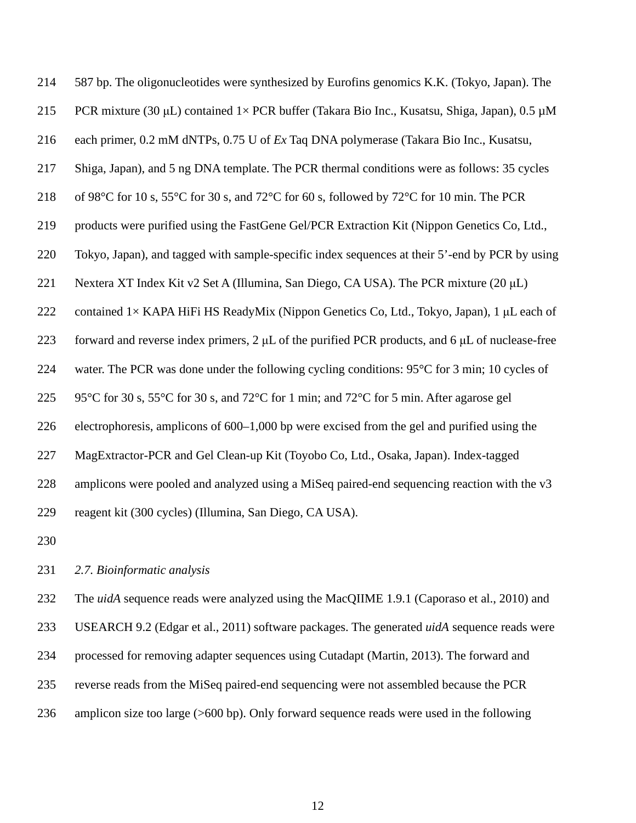| 214 | 587 bp. The oligonucleotides were synthesized by Eurofins genomics K.K. (Tokyo, Japan). The                                      |
|-----|----------------------------------------------------------------------------------------------------------------------------------|
| 215 | PCR mixture (30 µL) contained $1 \times$ PCR buffer (Takara Bio Inc., Kusatsu, Shiga, Japan), 0.5 µM                             |
| 216 | each primer, 0.2 mM dNTPs, 0.75 U of Ex Taq DNA polymerase (Takara Bio Inc., Kusatsu,                                            |
| 217 | Shiga, Japan), and 5 ng DNA template. The PCR thermal conditions were as follows: 35 cycles                                      |
| 218 | of 98 $\degree$ C for 10 s, 55 $\degree$ C for 30 s, and 72 $\degree$ C for 60 s, followed by 72 $\degree$ C for 10 min. The PCR |
| 219 | products were purified using the FastGene Gel/PCR Extraction Kit (Nippon Genetics Co, Ltd.,                                      |
| 220 | Tokyo, Japan), and tagged with sample-specific index sequences at their 5'-end by PCR by using                                   |
| 221 | Nextera XT Index Kit v2 Set A (Illumina, San Diego, CA USA). The PCR mixture (20 µL)                                             |
| 222 | contained 1× KAPA HiFi HS ReadyMix (Nippon Genetics Co, Ltd., Tokyo, Japan), 1 µL each of                                        |
| 223 | forward and reverse index primers, 2 µL of the purified PCR products, and 6 µL of nuclease-free                                  |
| 224 | water. The PCR was done under the following cycling conditions: 95°C for 3 min; 10 cycles of                                     |
| 225 | 95°C for 30 s, 55°C for 30 s, and 72°C for 1 min; and 72°C for 5 min. After agarose gel                                          |
| 226 | electrophoresis, amplicons of $600-1,000$ bp were excised from the gel and purified using the                                    |
| 227 | MagExtractor-PCR and Gel Clean-up Kit (Toyobo Co, Ltd., Osaka, Japan). Index-tagged                                              |
| 228 | amplicons were pooled and analyzed using a MiSeq paired-end sequencing reaction with the v3                                      |
| 229 | reagent kit (300 cycles) (Illumina, San Diego, CA USA).                                                                          |

*2.7. Bioinformatic analysis*

 The *uidA* sequence reads were analyzed using the MacQIIME 1.9.1 (Caporaso et al., 2010) and USEARCH 9.2 (Edgar et al., 2011) software packages. The generated *uidA* sequence reads were processed for removing adapter sequences using Cutadapt (Martin, 2013). The forward and reverse reads from the MiSeq paired-end sequencing were not assembled because the PCR amplicon size too large (>600 bp). Only forward sequence reads were used in the following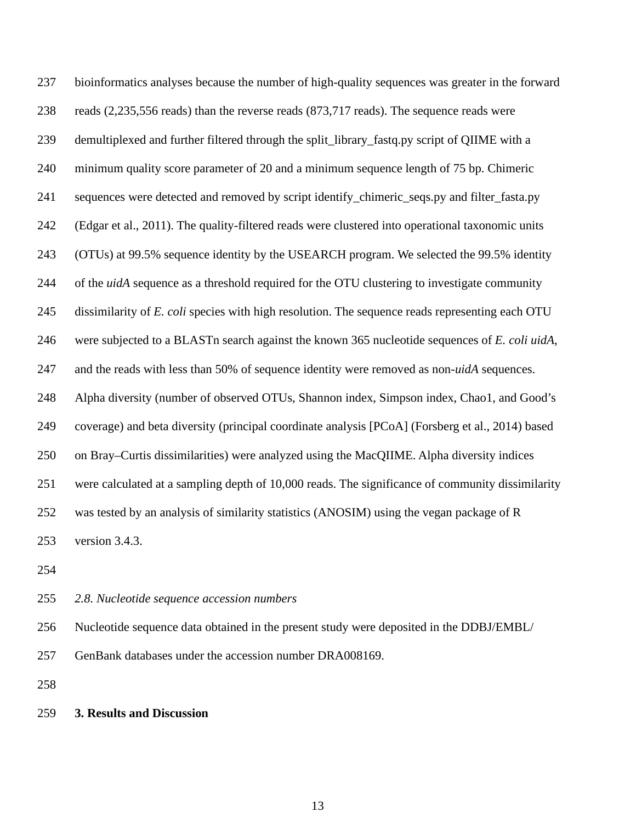bioinformatics analyses because the number of high-quality sequences was greater in the forward reads (2,235,556 reads) than the reverse reads (873,717 reads). The sequence reads were demultiplexed and further filtered through the split\_library\_fastq.py script of QIIME with a minimum quality score parameter of 20 and a minimum sequence length of 75 bp. Chimeric 241 sequences were detected and removed by script identify chimeric seqs.py and filter fasta.py (Edgar et al., 2011). The quality-filtered reads were clustered into operational taxonomic units (OTUs) at 99.5% sequence identity by the USEARCH program. We selected the 99.5% identity of the *uidA* sequence as a threshold required for the OTU clustering to investigate community dissimilarity of *E. coli* species with high resolution. The sequence reads representing each OTU were subjected to a BLASTn search against the known 365 nucleotide sequences of *E. coli uidA*, and the reads with less than 50% of sequence identity were removed as non-*uidA* sequences. Alpha diversity (number of observed OTUs, Shannon index, Simpson index, Chao1, and Good's coverage) and beta diversity (principal coordinate analysis [PCoA] (Forsberg et al., 2014) based on Bray–Curtis dissimilarities) were analyzed using the MacQIIME. Alpha diversity indices were calculated at a sampling depth of 10,000 reads. The significance of community dissimilarity was tested by an analysis of similarity statistics (ANOSIM) using the vegan package of R version 3.4.3.

## *2.8. Nucleotide sequence accession numbers*

 Nucleotide sequence data obtained in the present study were deposited in the DDBJ/EMBL/ GenBank databases under the accession number DRA008169.

#### **3. Results and Discussion**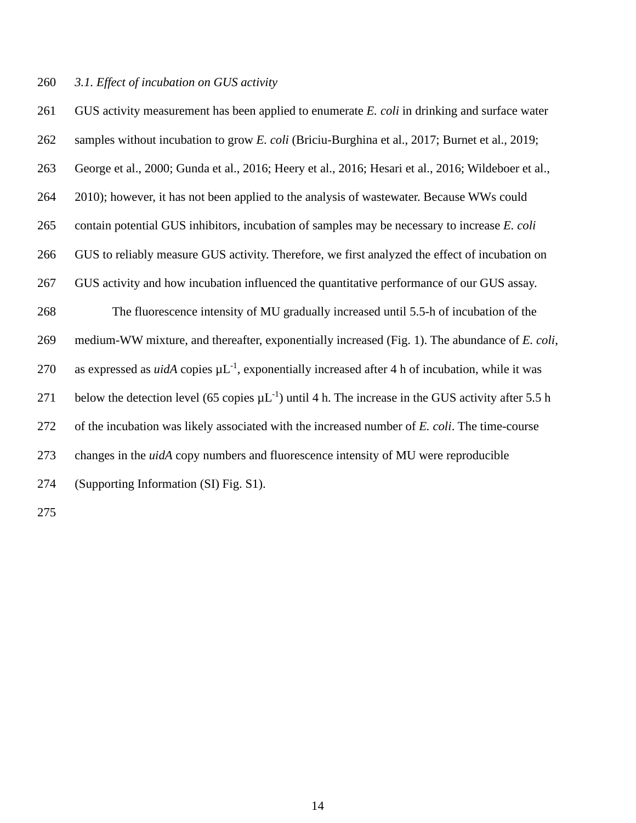#### *3.1. Effect of incubation on GUS activity*

 GUS activity measurement has been applied to enumerate *E. coli* in drinking and surface water samples without incubation to grow *E. coli* (Briciu-Burghina et al., 2017; Burnet et al., 2019; George et al., 2000; Gunda et al., 2016; Heery et al., 2016; Hesari et al., 2016; Wildeboer et al., 2010); however, it has not been applied to the analysis of wastewater. Because WWs could contain potential GUS inhibitors, incubation of samples may be necessary to increase *E. coli* GUS to reliably measure GUS activity. Therefore, we first analyzed the effect of incubation on GUS activity and how incubation influenced the quantitative performance of our GUS assay. The fluorescence intensity of MU gradually increased until 5.5-h of incubation of the medium-WW mixture, and thereafter, exponentially increased (Fig. 1). The abundance of *E. coli*, 270 as expressed as *uidA* copies  $\mu L^{-1}$ , exponentially increased after 4 h of incubation, while it was 271 below the detection level (65 copies  $\mu L^{-1}$ ) until 4 h. The increase in the GUS activity after 5.5 h of the incubation was likely associated with the increased number of *E. coli*. The time-course changes in the *uidA* copy numbers and fluorescence intensity of MU were reproducible (Supporting Information (SI) Fig. S1).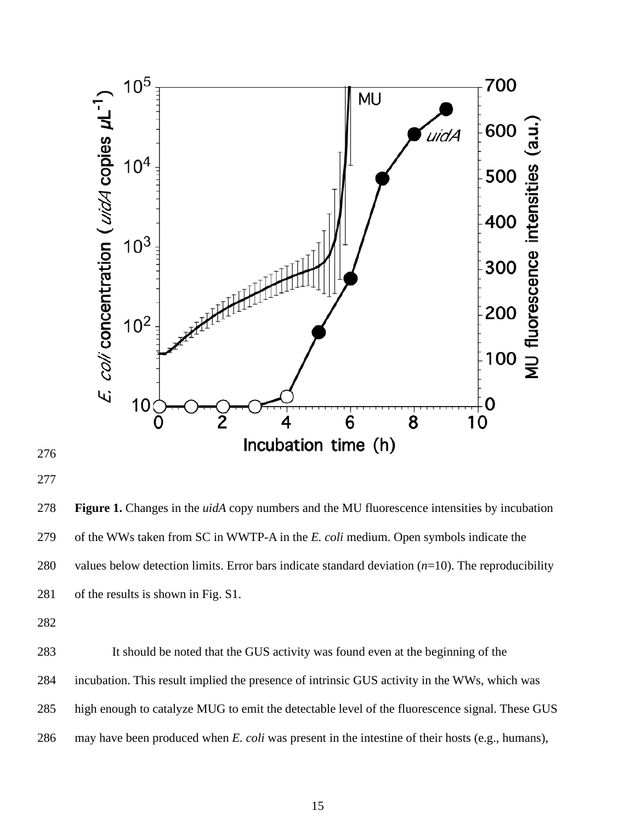

 **Figure 1.** Changes in the *uidA* copy numbers and the MU fluorescence intensities by incubation of the WWs taken from SC in WWTP-A in the *E. coli* medium. Open symbols indicate the values below detection limits. Error bars indicate standard deviation (*n*=10). The reproducibility of the results is shown in Fig. S1.

 It should be noted that the GUS activity was found even at the beginning of the incubation. This result implied the presence of intrinsic GUS activity in the WWs, which was high enough to catalyze MUG to emit the detectable level of the fluorescence signal. These GUS may have been produced when *E. coli* was present in the intestine of their hosts (e.g., humans),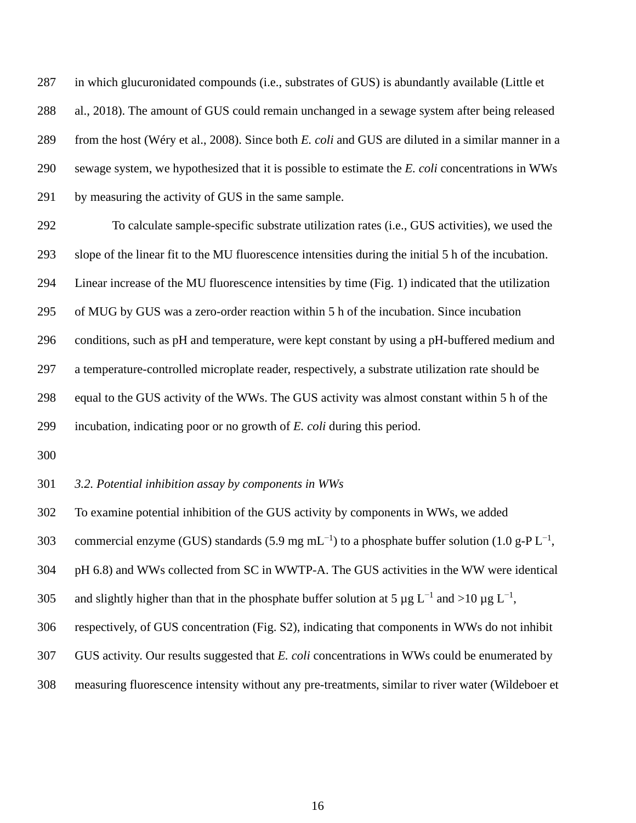in which glucuronidated compounds (i.e., substrates of GUS) is abundantly available (Little et al., 2018). The amount of GUS could remain unchanged in a sewage system after being released from the host (Wéry et al., 2008). Since both *E. coli* and GUS are diluted in a similar manner in a sewage system, we hypothesized that it is possible to estimate the *E. coli* concentrations in WWs by measuring the activity of GUS in the same sample.

 To calculate sample-specific substrate utilization rates (i.e., GUS activities), we used the slope of the linear fit to the MU fluorescence intensities during the initial 5 h of the incubation. Linear increase of the MU fluorescence intensities by time (Fig. 1) indicated that the utilization of MUG by GUS was a zero-order reaction within 5 h of the incubation. Since incubation conditions, such as pH and temperature, were kept constant by using a pH-buffered medium and a temperature-controlled microplate reader, respectively, a substrate utilization rate should be equal to the GUS activity of the WWs. The GUS activity was almost constant within 5 h of the incubation, indicating poor or no growth of *E. coli* during this period.

#### *3.2. Potential inhibition assay by components in WWs*

To examine potential inhibition of the GUS activity by components in WWs, we added

303 commercial enzyme (GUS) standards (5.9 mg mL<sup>-1</sup>) to a phosphate buffer solution (1.0 g-P L<sup>-1</sup>,

pH 6.8) and WWs collected from SC in WWTP-A. The GUS activities in the WW were identical

and slightly higher than that in the phosphate buffer solution at 5 µg  $L^{-1}$  and >10 µg  $L^{-1}$ ,

respectively, of GUS concentration (Fig. S2), indicating that components in WWs do not inhibit

- GUS activity. Our results suggested that *E. coli* concentrations in WWs could be enumerated by
- measuring fluorescence intensity without any pre-treatments, similar to river water (Wildeboer et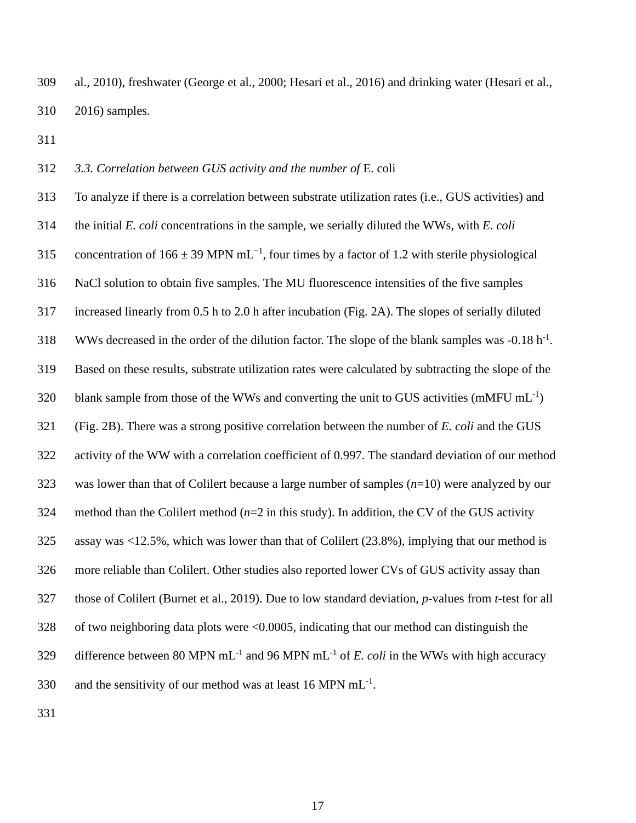al., 2010), freshwater (George et al., 2000; Hesari et al., 2016) and drinking water (Hesari et al., 2016) samples.

## *3.3. Correlation between GUS activity and the number of* E. coli

 To analyze if there is a correlation between substrate utilization rates (i.e., GUS activities) and the initial *E. coli* concentrations in the sample, we serially diluted the WWs, with *E. coli* 315 concentration of  $166 \pm 39$  MPN mL<sup>-1</sup>, four times by a factor of 1.2 with sterile physiological NaCl solution to obtain five samples. The MU fluorescence intensities of the five samples increased linearly from 0.5 h to 2.0 h after incubation (Fig. 2A). The slopes of serially diluted 318 WWs decreased in the order of the dilution factor. The slope of the blank samples was  $-0.18$  h<sup>-1</sup>. Based on these results, substrate utilization rates were calculated by subtracting the slope of the 320 blank sample from those of the WWs and converting the unit to GUS activities ( $m$ MFU  $mL^{-1}$ ) (Fig. 2B). There was a strong positive correlation between the number of *E. coli* and the GUS activity of the WW with a correlation coefficient of 0.997. The standard deviation of our method was lower than that of Colilert because a large number of samples (*n*=10) were analyzed by our 324 method than the Colilert method  $(n=2 \text{ in this study})$ . In addition, the CV of the GUS activity assay was <12.5%, which was lower than that of Colilert (23.8%), implying that our method is more reliable than Colilert. Other studies also reported lower CVs of GUS activity assay than those of Colilert (Burnet et al., 2019). Due to low standard deviation, *p*-values from *t*-test for all of two neighboring data plots were <0.0005, indicating that our method can distinguish the 329 difference between 80 MPN  $mL^{-1}$  and 96 MPN  $mL^{-1}$  of *E. coli* in the WWs with high accuracy 330 and the sensitivity of our method was at least 16 MPN  $mL^{-1}$ .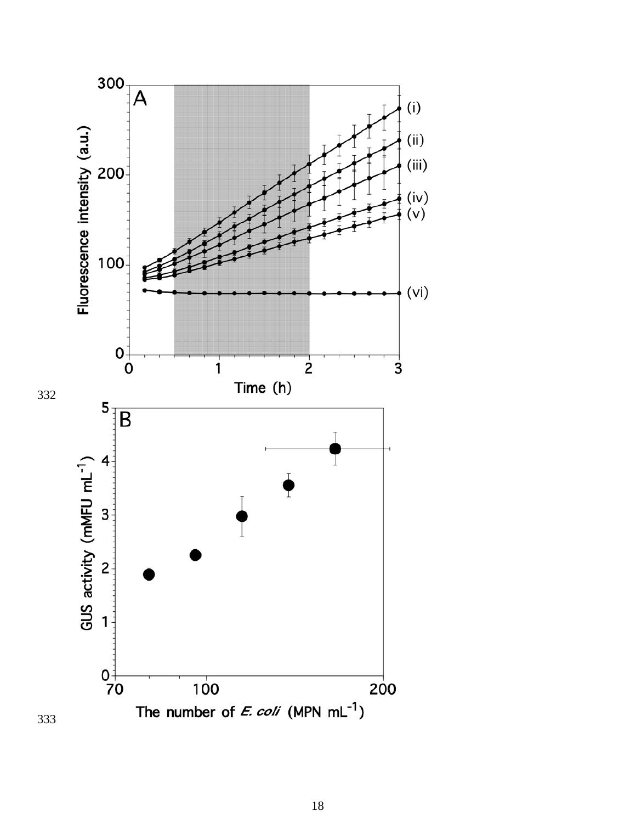

$$
332\,
$$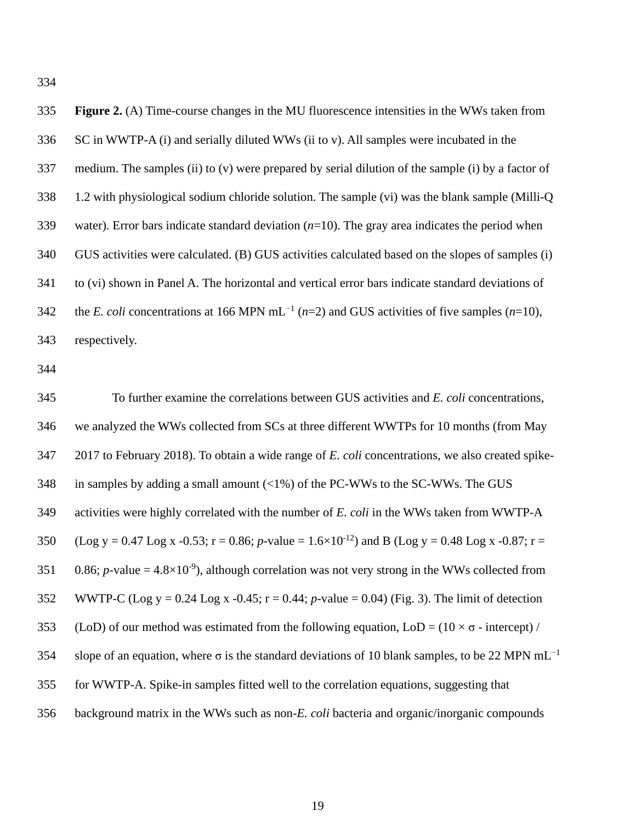**Figure 2.** (A) Time-course changes in the MU fluorescence intensities in the WWs taken from SC in WWTP-A (i) and serially diluted WWs (ii to v). All samples were incubated in the medium. The samples (ii) to (v) were prepared by serial dilution of the sample (i) by a factor of 1.2 with physiological sodium chloride solution. The sample (vi) was the blank sample (Milli-Q water). Error bars indicate standard deviation (*n*=10). The gray area indicates the period when GUS activities were calculated. (B) GUS activities calculated based on the slopes of samples (i) to (vi) shown in Panel A. The horizontal and vertical error bars indicate standard deviations of the *E. coli* concentrations at 166 MPN mL<sup>-1</sup>  $(n=2)$  and GUS activities of five samples  $(n=10)$ , respectively.

 To further examine the correlations between GUS activities and *E. coli* concentrations, we analyzed the WWs collected from SCs at three different WWTPs for 10 months (from May 2017 to February 2018). To obtain a wide range of *E. coli* concentrations, we also created spike-348 in samples by adding a small amount  $\langle$  <1%) of the PC-WWs to the SC-WWs. The GUS activities were highly correlated with the number of *E. coli* in the WWs taken from WWTP-A 350 (Log y = 0.47 Log x -0.53; r = 0.86; *p*-value =  $1.6 \times 10^{-12}$ ) and B (Log y = 0.48 Log x -0.87; r = 351 0.86; *p*-value =  $4.8 \times 10^{-9}$ ), although correlation was not very strong in the WWs collected from 352 WWTP-C (Log y = 0.24 Log x -0.45;  $r = 0.44$ ; *p*-value = 0.04) (Fig. 3). The limit of detection 353 (LoD) of our method was estimated from the following equation,  $\text{LoD} = (10 \times \sigma \cdot \text{intercept})/$ slope of an equation, where σ is the standard deviations of 10 blank samples, to be 22 MPN mL<sup>-1</sup> for WWTP-A. Spike-in samples fitted well to the correlation equations, suggesting that background matrix in the WWs such as non-*E. coli* bacteria and organic/inorganic compounds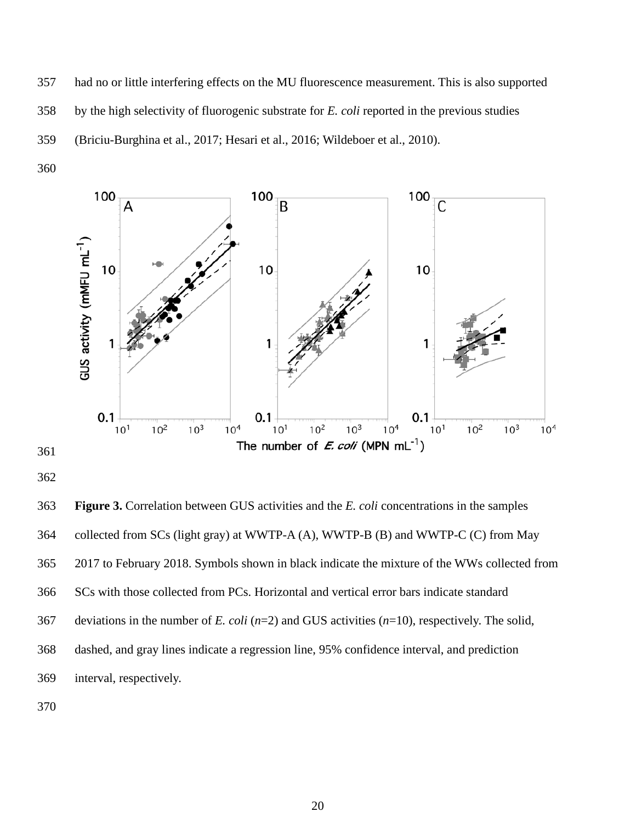had no or little interfering effects on the MU fluorescence measurement. This is also supported by the high selectivity of fluorogenic substrate for *E. coli* reported in the previous studies (Briciu-Burghina et al., 2017; Hesari et al., 2016; Wildeboer et al., 2010).



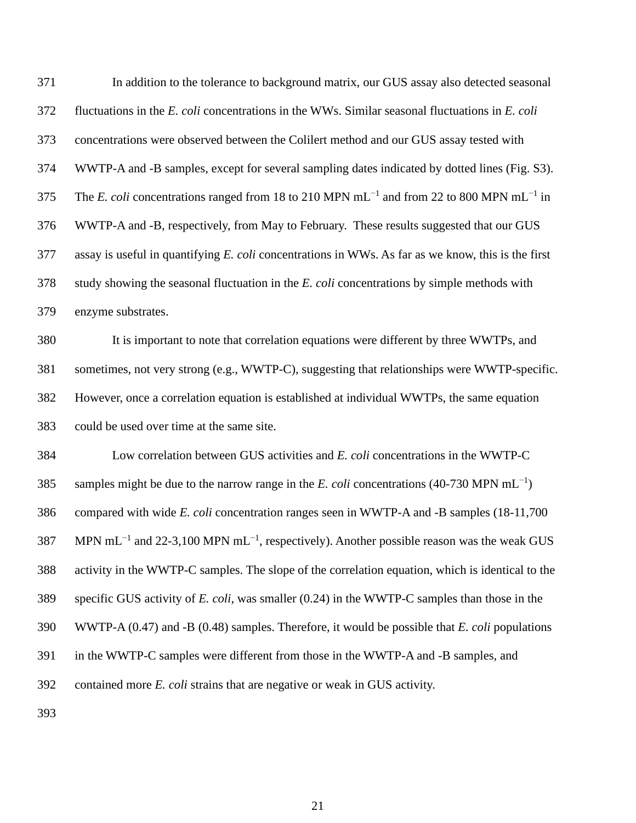| 371 | In addition to the tolerance to background matrix, our GUS assay also detected seasonal            |
|-----|----------------------------------------------------------------------------------------------------|
| 372 | fluctuations in the E. coli concentrations in the WWs. Similar seasonal fluctuations in E. coli    |
| 373 | concentrations were observed between the Colilert method and our GUS assay tested with             |
| 374 | WWTP-A and -B samples, except for several sampling dates indicated by dotted lines (Fig. S3).      |
| 375 | The E. coli concentrations ranged from 18 to 210 MPN $mL^{-1}$ and from 22 to 800 MPN $mL^{-1}$ in |
| 376 | WWTP-A and -B, respectively, from May to February. These results suggested that our GUS            |
| 377 | assay is useful in quantifying E. coli concentrations in WWs. As far as we know, this is the first |
| 378 | study showing the seasonal fluctuation in the E. coli concentrations by simple methods with        |
| 379 | enzyme substrates.                                                                                 |
| 380 | It is important to note that correlation equations were different by three WWTPs, and              |
| 381 | sometimes, not very strong (e.g., WWTP-C), suggesting that relationships were WWTP-specific.       |
| 382 | However, once a correlation equation is established at individual WWTPs, the same equation         |
| 383 | could be used over time at the same site.                                                          |
| 384 | Low correlation between GUS activities and E. coli concentrations in the WWTP-C                    |
| 385 | samples might be due to the narrow range in the E. coli concentrations (40-730 MPN $mL^{-1}$ )     |
| 386 | compared with wide <i>E. coli</i> concentration ranges seen in WWTP-A and -B samples (18-11,700)   |
| 387 | MPN $mL^{-1}$ and 22-3,100 MPN $mL^{-1}$ , respectively). Another possible reason was the weak GUS |
| 388 | activity in the WWTP-C samples. The slope of the correlation equation, which is identical to the   |
| 389 | specific GUS activity of $E.$ coli, was smaller $(0.24)$ in the WWTP-C samples than those in the   |
| 390 | WWTP-A $(0.47)$ and -B $(0.48)$ samples. Therefore, it would be possible that E. coli populations  |
| 391 | in the WWTP-C samples were different from those in the WWTP-A and -B samples, and                  |
| 392 | contained more E. coli strains that are negative or weak in GUS activity.                          |
| 393 |                                                                                                    |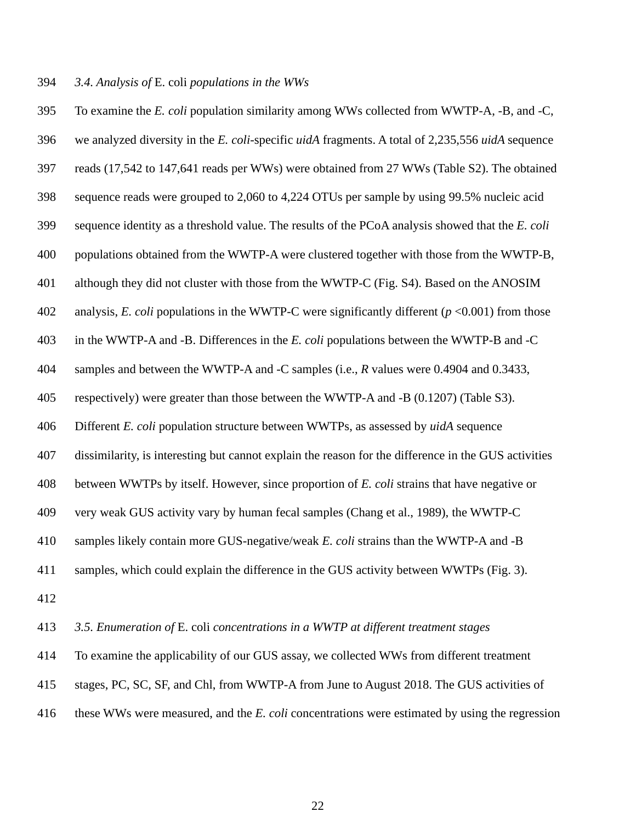#### *3.4. Analysis of* E. coli *populations in the WWs*

 To examine the *E. coli* population similarity among WWs collected from WWTP-A, -B, and -C, we analyzed diversity in the *E. coli*-specific *uidA* fragments. A total of 2,235,556 *uidA* sequence reads (17,542 to 147,641 reads per WWs) were obtained from 27 WWs (Table S2). The obtained sequence reads were grouped to 2,060 to 4,224 OTUs per sample by using 99.5% nucleic acid sequence identity as a threshold value. The results of the PCoA analysis showed that the *E. coli* populations obtained from the WWTP-A were clustered together with those from the WWTP-B, although they did not cluster with those from the WWTP-C (Fig. S4). Based on the ANOSIM analysis, *E. coli* populations in the WWTP-C were significantly different (*p* <0.001) from those in the WWTP-A and -B. Differences in the *E. coli* populations between the WWTP-B and -C samples and between the WWTP-A and -C samples (i.e., *R* values were 0.4904 and 0.3433, respectively) were greater than those between the WWTP-A and -B (0.1207) (Table S3). Different *E. coli* population structure between WWTPs, as assessed by *uidA* sequence dissimilarity, is interesting but cannot explain the reason for the difference in the GUS activities between WWTPs by itself. However, since proportion of *E. coli* strains that have negative or very weak GUS activity vary by human fecal samples (Chang et al., 1989), the WWTP-C samples likely contain more GUS-negative/weak *E. coli* strains than the WWTP-A and -B samples, which could explain the difference in the GUS activity between WWTPs (Fig. 3). 

*3.5. Enumeration of* E. coli *concentrations in a WWTP at different treatment stages*

To examine the applicability of our GUS assay, we collected WWs from different treatment

stages, PC, SC, SF, and Chl, from WWTP-A from June to August 2018. The GUS activities of

these WWs were measured, and the *E. coli* concentrations were estimated by using the regression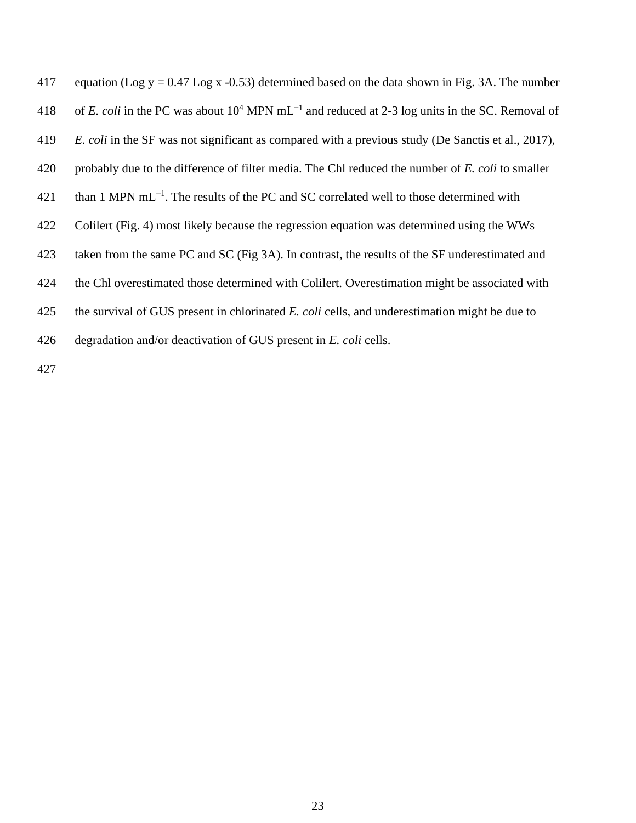equation (Log y = 0.47 Log x -0.53) determined based on the data shown in Fig. 3A. The number of *E. coli* in the PC was about 104 MPN mL<sup>−</sup><sup>1</sup> and reduced at 2-3 log units in the SC. Removal of *E. coli* in the SF was not significant as compared with a previous study (De Sanctis et al., 2017), probably due to the difference of filter media. The Chl reduced the number of *E. coli* to smaller 421 than 1 MPN mL<sup>-1</sup>. The results of the PC and SC correlated well to those determined with Colilert (Fig. 4) most likely because the regression equation was determined using the WWs taken from the same PC and SC (Fig 3A). In contrast, the results of the SF underestimated and the Chl overestimated those determined with Colilert. Overestimation might be associated with the survival of GUS present in chlorinated *E. coli* cells, and underestimation might be due to degradation and/or deactivation of GUS present in *E. coli* cells.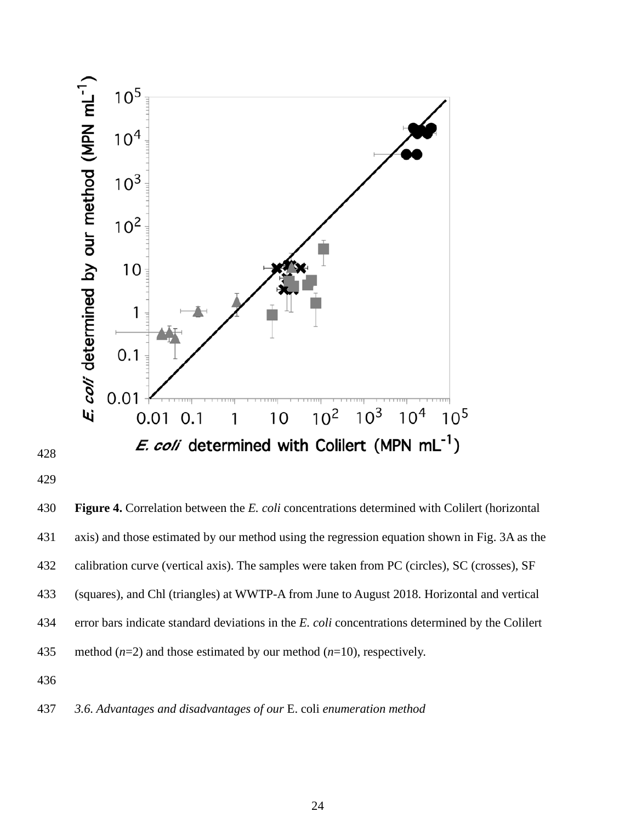

 **Figure 4.** Correlation between the *E. coli* concentrations determined with Colilert (horizontal axis) and those estimated by our method using the regression equation shown in Fig. 3A as the calibration curve (vertical axis). The samples were taken from PC (circles), SC (crosses), SF (squares), and Chl (triangles) at WWTP-A from June to August 2018. Horizontal and vertical error bars indicate standard deviations in the *E. coli* concentrations determined by the Colilert method (*n*=2) and those estimated by our method (*n*=10), respectively.

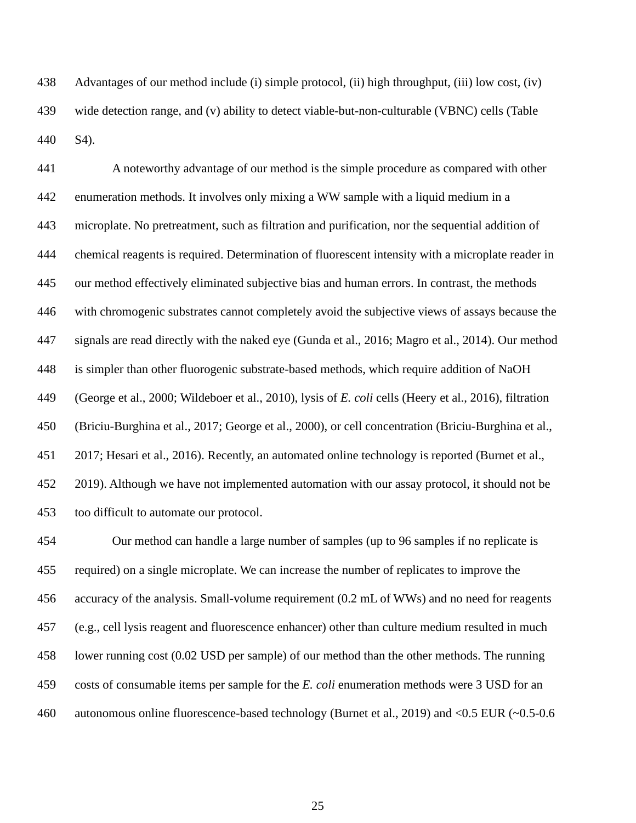Advantages of our method include (i) simple protocol, (ii) high throughput, (iii) low cost, (iv) wide detection range, and (v) ability to detect viable-but-non-culturable (VBNC) cells (Table S4).

 A noteworthy advantage of our method is the simple procedure as compared with other enumeration methods. It involves only mixing a WW sample with a liquid medium in a microplate. No pretreatment, such as filtration and purification, nor the sequential addition of chemical reagents is required. Determination of fluorescent intensity with a microplate reader in our method effectively eliminated subjective bias and human errors. In contrast, the methods with chromogenic substrates cannot completely avoid the subjective views of assays because the signals are read directly with the naked eye (Gunda et al., 2016; Magro et al., 2014). Our method is simpler than other fluorogenic substrate-based methods, which require addition of NaOH (George et al., 2000; Wildeboer et al., 2010), lysis of *E. coli* cells (Heery et al., 2016), filtration (Briciu-Burghina et al., 2017; George et al., 2000), or cell concentration (Briciu-Burghina et al., 2017; Hesari et al., 2016). Recently, an automated online technology is reported (Burnet et al., 2019). Although we have not implemented automation with our assay protocol, it should not be too difficult to automate our protocol.

 Our method can handle a large number of samples (up to 96 samples if no replicate is required) on a single microplate. We can increase the number of replicates to improve the accuracy of the analysis. Small-volume requirement (0.2 mL of WWs) and no need for reagents (e.g., cell lysis reagent and fluorescence enhancer) other than culture medium resulted in much lower running cost (0.02 USD per sample) of our method than the other methods. The running costs of consumable items per sample for the *E. coli* enumeration methods were 3 USD for an 460 autonomous online fluorescence-based technology (Burnet et al., 2019) and <0.5 EUR (~0.5-0.6)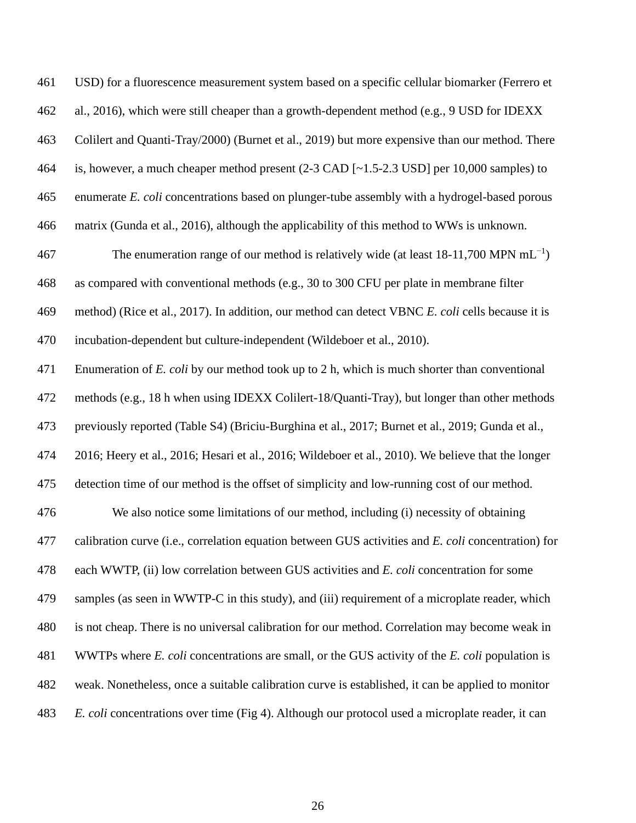USD) for a fluorescence measurement system based on a specific cellular biomarker (Ferrero et al., 2016), which were still cheaper than a growth-dependent method (e.g., 9 USD for IDEXX Colilert and Quanti-Tray/2000) (Burnet et al., 2019) but more expensive than our method. There is, however, a much cheaper method present (2-3 CAD [~1.5-2.3 USD] per 10,000 samples) to enumerate *E. coli* concentrations based on plunger-tube assembly with a hydrogel-based porous matrix (Gunda et al., 2016), although the applicability of this method to WWs is unknown.  $\sim 467$  The enumeration range of our method is relatively wide (at least 18-11,700 MPN mL<sup>-1</sup>) as compared with conventional methods (e.g., 30 to 300 CFU per plate in membrane filter method) (Rice et al., 2017). In addition, our method can detect VBNC *E. coli* cells because it is incubation-dependent but culture-independent (Wildeboer et al., 2010). Enumeration of *E. coli* by our method took up to 2 h, which is much shorter than conventional methods (e.g., 18 h when using IDEXX Colilert-18/Quanti-Tray), but longer than other methods previously reported (Table S4) (Briciu-Burghina et al., 2017; Burnet et al., 2019; Gunda et al., 2016; Heery et al., 2016; Hesari et al., 2016; Wildeboer et al., 2010). We believe that the longer detection time of our method is the offset of simplicity and low-running cost of our method. We also notice some limitations of our method, including (i) necessity of obtaining calibration curve (i.e., correlation equation between GUS activities and *E. coli* concentration) for each WWTP, (ii) low correlation between GUS activities and *E. coli* concentration for some samples (as seen in WWTP-C in this study), and (iii) requirement of a microplate reader, which is not cheap. There is no universal calibration for our method. Correlation may become weak in WWTPs where *E. coli* concentrations are small, or the GUS activity of the *E. coli* population is weak. Nonetheless, once a suitable calibration curve is established, it can be applied to monitor *E. coli* concentrations over time (Fig 4). Although our protocol used a microplate reader, it can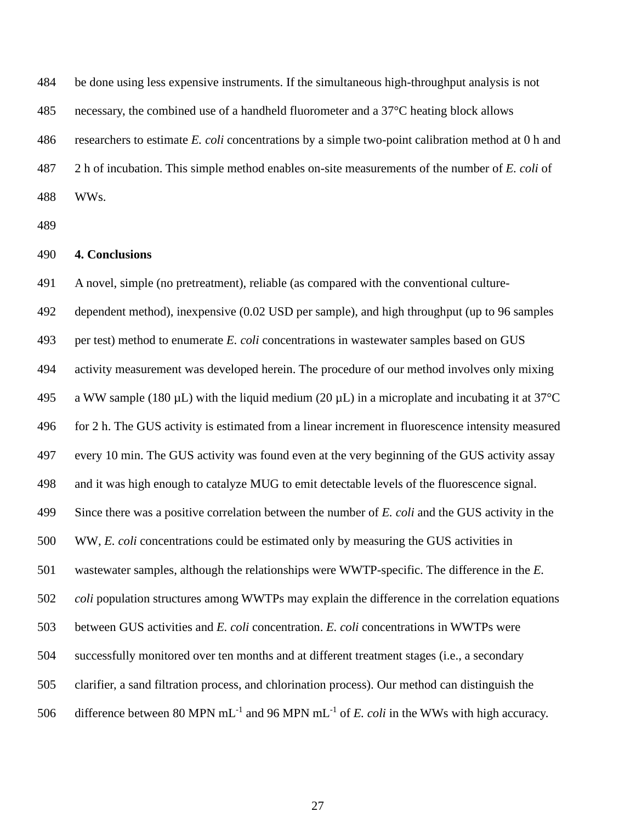be done using less expensive instruments. If the simultaneous high-throughput analysis is not necessary, the combined use of a handheld fluorometer and a 37°C heating block allows researchers to estimate *E. coli* concentrations by a simple two-point calibration method at 0 h and 2 h of incubation. This simple method enables on-site measurements of the number of *E. coli* of WWs.

## **4. Conclusions**

A novel, simple (no pretreatment), reliable (as compared with the conventional culture-

 dependent method), inexpensive (0.02 USD per sample), and high throughput (up to 96 samples per test) method to enumerate *E. coli* concentrations in wastewater samples based on GUS activity measurement was developed herein. The procedure of our method involves only mixing 495 a WW sample (180  $\mu$ L) with the liquid medium (20  $\mu$ L) in a microplate and incubating it at 37<sup>o</sup>C for 2 h. The GUS activity is estimated from a linear increment in fluorescence intensity measured every 10 min. The GUS activity was found even at the very beginning of the GUS activity assay and it was high enough to catalyze MUG to emit detectable levels of the fluorescence signal. Since there was a positive correlation between the number of *E. coli* and the GUS activity in the WW, *E. coli* concentrations could be estimated only by measuring the GUS activities in wastewater samples, although the relationships were WWTP-specific. The difference in the *E. coli* population structures among WWTPs may explain the difference in the correlation equations between GUS activities and *E. coli* concentration. *E. coli* concentrations in WWTPs were

successfully monitored over ten months and at different treatment stages (i.e., a secondary

clarifier, a sand filtration process, and chlorination process). Our method can distinguish the

506 difference between 80 MPN mL<sup>-1</sup> and 96 MPN mL<sup>-1</sup> of *E. coli* in the WWs with high accuracy.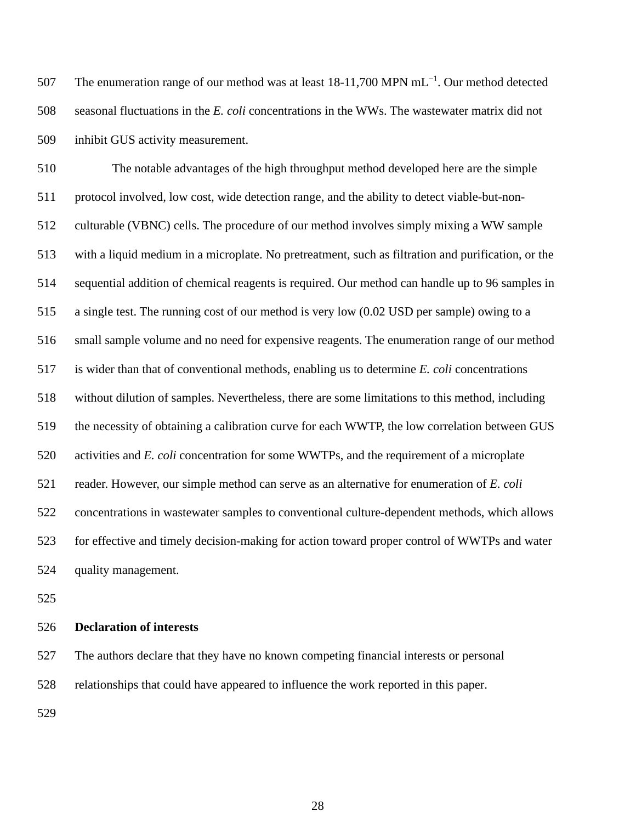The enumeration range of our method was at least 18-11,700 MPN mL<sup>-1</sup>. Our method detected seasonal fluctuations in the *E. coli* concentrations in the WWs. The wastewater matrix did not inhibit GUS activity measurement.

 The notable advantages of the high throughput method developed here are the simple protocol involved, low cost, wide detection range, and the ability to detect viable-but-non- culturable (VBNC) cells. The procedure of our method involves simply mixing a WW sample with a liquid medium in a microplate. No pretreatment, such as filtration and purification, or the sequential addition of chemical reagents is required. Our method can handle up to 96 samples in a single test. The running cost of our method is very low (0.02 USD per sample) owing to a small sample volume and no need for expensive reagents. The enumeration range of our method is wider than that of conventional methods, enabling us to determine *E. coli* concentrations without dilution of samples. Nevertheless, there are some limitations to this method, including the necessity of obtaining a calibration curve for each WWTP, the low correlation between GUS activities and *E. coli* concentration for some WWTPs, and the requirement of a microplate reader. However, our simple method can serve as an alternative for enumeration of *E. coli* concentrations in wastewater samples to conventional culture-dependent methods, which allows for effective and timely decision-making for action toward proper control of WWTPs and water quality management.

#### **Declaration of interests**

 The authors declare that they have no known competing financial interests or personal relationships that could have appeared to influence the work reported in this paper.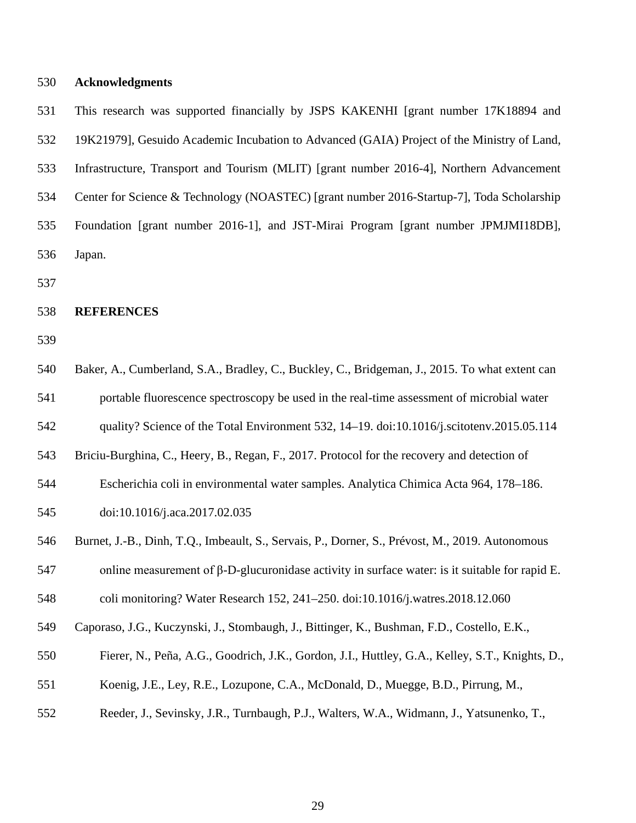| <b>Acknowledgments</b> |
|------------------------|
|------------------------|

 This research was supported financially by JSPS KAKENHI [grant number 17K18894 and 19K21979], Gesuido Academic Incubation to Advanced (GAIA) Project of the Ministry of Land, Infrastructure, Transport and Tourism (MLIT) [grant number 2016-4], Northern Advancement Center for Science & Technology (NOASTEC) [grant number 2016-Startup-7], Toda Scholarship Foundation [grant number 2016-1], and JST-Mirai Program [grant number JPMJMI18DB], Japan.

#### **REFERENCES**

 Baker, A., Cumberland, S.A., Bradley, C., Buckley, C., Bridgeman, J., 2015. To what extent can portable fluorescence spectroscopy be used in the real-time assessment of microbial water

quality? Science of the Total Environment 532, 14–19. doi:10.1016/j.scitotenv.2015.05.114

Briciu-Burghina, C., Heery, B., Regan, F., 2017. Protocol for the recovery and detection of

Escherichia coli in environmental water samples. Analytica Chimica Acta 964, 178–186.

doi:10.1016/j.aca.2017.02.035

Burnet, J.-B., Dinh, T.Q., Imbeault, S., Servais, P., Dorner, S., Prévost, M., 2019. Autonomous

online measurement of β-D-glucuronidase activity in surface water: is it suitable for rapid E.

coli monitoring? Water Research 152, 241–250. doi:10.1016/j.watres.2018.12.060

- Caporaso, J.G., Kuczynski, J., Stombaugh, J., Bittinger, K., Bushman, F.D., Costello, E.K.,
- Fierer, N., Peña, A.G., Goodrich, J.K., Gordon, J.I., Huttley, G.A., Kelley, S.T., Knights, D.,
- Koenig, J.E., Ley, R.E., Lozupone, C.A., McDonald, D., Muegge, B.D., Pirrung, M.,
- Reeder, J., Sevinsky, J.R., Turnbaugh, P.J., Walters, W.A., Widmann, J., Yatsunenko, T.,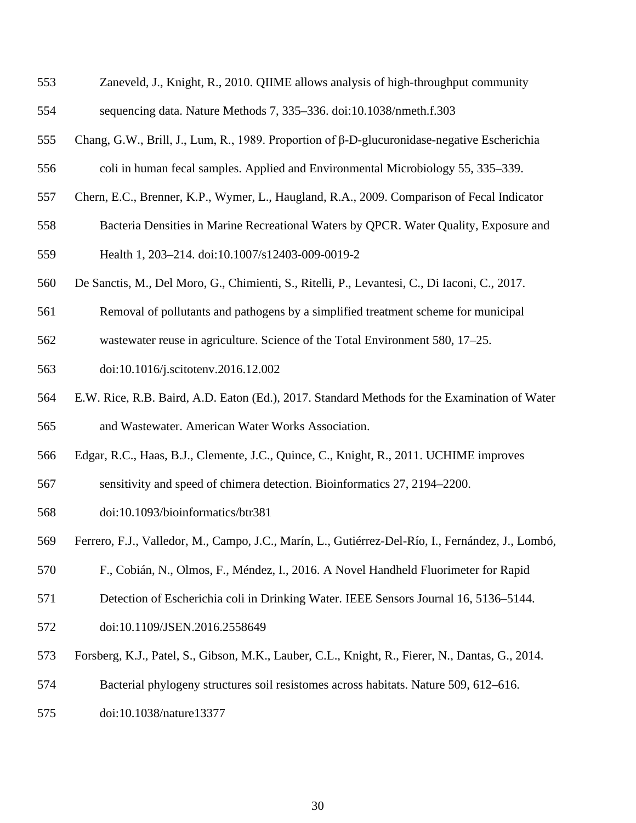| 553 | Zaneveld, J., Knight, R., 2010. QIIME allows analysis of high-throughput community                 |
|-----|----------------------------------------------------------------------------------------------------|
| 554 | sequencing data. Nature Methods 7, 335–336. doi:10.1038/nmeth.f.303                                |
| 555 | Chang, G.W., Brill, J., Lum, R., 1989. Proportion of $\beta$ -D-glucuronidase-negative Escherichia |
| 556 | coli in human fecal samples. Applied and Environmental Microbiology 55, 335–339.                   |
| 557 | Chern, E.C., Brenner, K.P., Wymer, L., Haugland, R.A., 2009. Comparison of Fecal Indicator         |
| 558 | Bacteria Densities in Marine Recreational Waters by QPCR. Water Quality, Exposure and              |
| 559 | Health 1, 203-214. doi:10.1007/s12403-009-0019-2                                                   |
| 560 | De Sanctis, M., Del Moro, G., Chimienti, S., Ritelli, P., Levantesi, C., Di Iaconi, C., 2017.      |
| 561 | Removal of pollutants and pathogens by a simplified treatment scheme for municipal                 |
| 562 | wastewater reuse in agriculture. Science of the Total Environment 580, 17–25.                      |
| 563 | doi:10.1016/j.scitotenv.2016.12.002                                                                |
| 564 | E.W. Rice, R.B. Baird, A.D. Eaton (Ed.), 2017. Standard Methods for the Examination of Water       |
| 565 | and Wastewater. American Water Works Association.                                                  |
|     |                                                                                                    |

- Edgar, R.C., Haas, B.J., Clemente, J.C., Quince, C., Knight, R., 2011. UCHIME improves
- sensitivity and speed of chimera detection. Bioinformatics 27, 2194–2200.
- doi:10.1093/bioinformatics/btr381
- Ferrero, F.J., Valledor, M., Campo, J.C., Marín, L., Gutiérrez-Del-Río, I., Fernández, J., Lombó,
- F., Cobián, N., Olmos, F., Méndez, I., 2016. A Novel Handheld Fluorimeter for Rapid
- Detection of Escherichia coli in Drinking Water. IEEE Sensors Journal 16, 5136–5144.
- doi:10.1109/JSEN.2016.2558649
- Forsberg, K.J., Patel, S., Gibson, M.K., Lauber, C.L., Knight, R., Fierer, N., Dantas, G., 2014.
- Bacterial phylogeny structures soil resistomes across habitats. Nature 509, 612–616.
- doi:10.1038/nature13377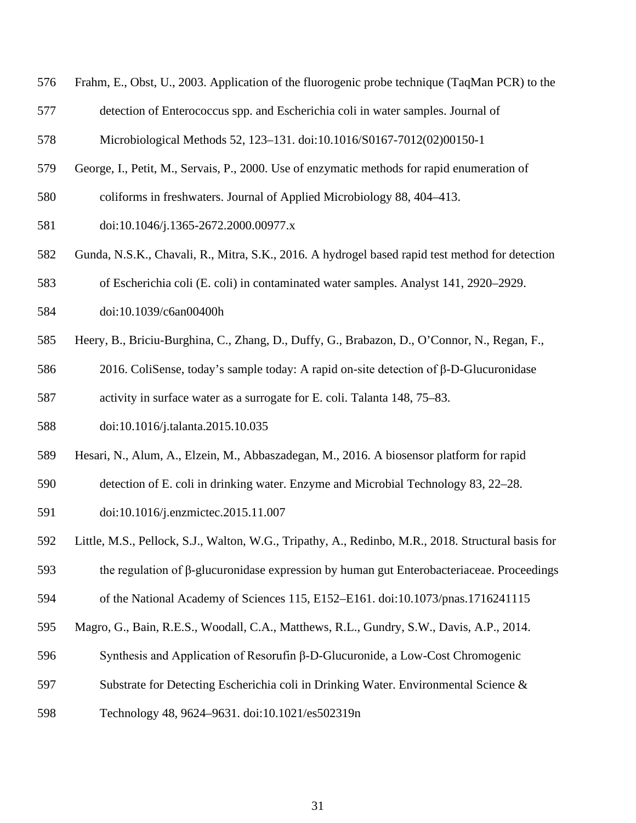| 576 | Frahm, E., Obst, U., 2003. Application of the fluorogenic probe technique (TaqMan PCR) to the |
|-----|-----------------------------------------------------------------------------------------------|
| 577 | detection of Enterococcus spp. and Escherichia coli in water samples. Journal of              |
| 578 | Microbiological Methods 52, 123–131. doi:10.1016/S0167-7012(02)00150-1                        |
| 579 | George, I., Petit, M., Servais, P., 2000. Use of enzymatic methods for rapid enumeration of   |
| 580 | coliforms in freshwaters. Journal of Applied Microbiology 88, 404–413.                        |
| 581 | doi:10.1046/j.1365-2672.2000.00977.x                                                          |
|     |                                                                                               |

- Gunda, N.S.K., Chavali, R., Mitra, S.K., 2016. A hydrogel based rapid test method for detection
- of Escherichia coli (E. coli) in contaminated water samples. Analyst 141, 2920–2929.
- doi:10.1039/c6an00400h
- Heery, B., Briciu-Burghina, C., Zhang, D., Duffy, G., Brabazon, D., O'Connor, N., Regan, F.,
- 2016. ColiSense, today's sample today: A rapid on-site detection of β-D-Glucuronidase
- activity in surface water as a surrogate for E. coli. Talanta 148, 75–83.
- doi:10.1016/j.talanta.2015.10.035
- Hesari, N., Alum, A., Elzein, M., Abbaszadegan, M., 2016. A biosensor platform for rapid
- detection of E. coli in drinking water. Enzyme and Microbial Technology 83, 22–28.
- doi:10.1016/j.enzmictec.2015.11.007
- Little, M.S., Pellock, S.J., Walton, W.G., Tripathy, A., Redinbo, M.R., 2018. Structural basis for
- the regulation of β-glucuronidase expression by human gut Enterobacteriaceae. Proceedings
- of the National Academy of Sciences 115, E152–E161. doi:10.1073/pnas.1716241115
- Magro, G., Bain, R.E.S., Woodall, C.A., Matthews, R.L., Gundry, S.W., Davis, A.P., 2014.
- Synthesis and Application of Resorufin β-D-Glucuronide, a Low-Cost Chromogenic
- Substrate for Detecting Escherichia coli in Drinking Water. Environmental Science &
- Technology 48, 9624–9631. doi:10.1021/es502319n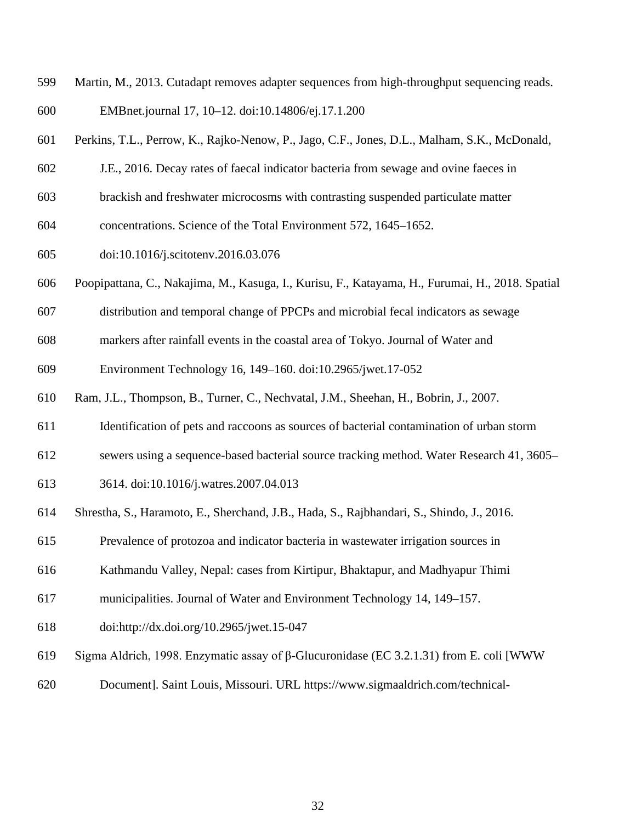- Martin, M., 2013. Cutadapt removes adapter sequences from high-throughput sequencing reads.
- EMBnet.journal 17, 10–12. doi:10.14806/ej.17.1.200
- Perkins, T.L., Perrow, K., Rajko-Nenow, P., Jago, C.F., Jones, D.L., Malham, S.K., McDonald,
- J.E., 2016. Decay rates of faecal indicator bacteria from sewage and ovine faeces in
- brackish and freshwater microcosms with contrasting suspended particulate matter
- concentrations. Science of the Total Environment 572, 1645–1652.
- doi:10.1016/j.scitotenv.2016.03.076
- Poopipattana, C., Nakajima, M., Kasuga, I., Kurisu, F., Katayama, H., Furumai, H., 2018. Spatial
- distribution and temporal change of PPCPs and microbial fecal indicators as sewage
- markers after rainfall events in the coastal area of Tokyo. Journal of Water and

Environment Technology 16, 149–160. doi:10.2965/jwet.17-052

- Ram, J.L., Thompson, B., Turner, C., Nechvatal, J.M., Sheehan, H., Bobrin, J., 2007.
- Identification of pets and raccoons as sources of bacterial contamination of urban storm
- sewers using a sequence-based bacterial source tracking method. Water Research 41, 3605–
- 3614. doi:10.1016/j.watres.2007.04.013
- Shrestha, S., Haramoto, E., Sherchand, J.B., Hada, S., Rajbhandari, S., Shindo, J., 2016.
- Prevalence of protozoa and indicator bacteria in wastewater irrigation sources in
- Kathmandu Valley, Nepal: cases from Kirtipur, Bhaktapur, and Madhyapur Thimi
- municipalities. Journal of Water and Environment Technology 14, 149–157.
- doi:http://dx.doi.org/10.2965/jwet.15-047
- Sigma Aldrich, 1998. Enzymatic assay of β-Glucuronidase (EC 3.2.1.31) from E. coli [WWW
- Document]. Saint Louis, Missouri. URL https://www.sigmaaldrich.com/technical-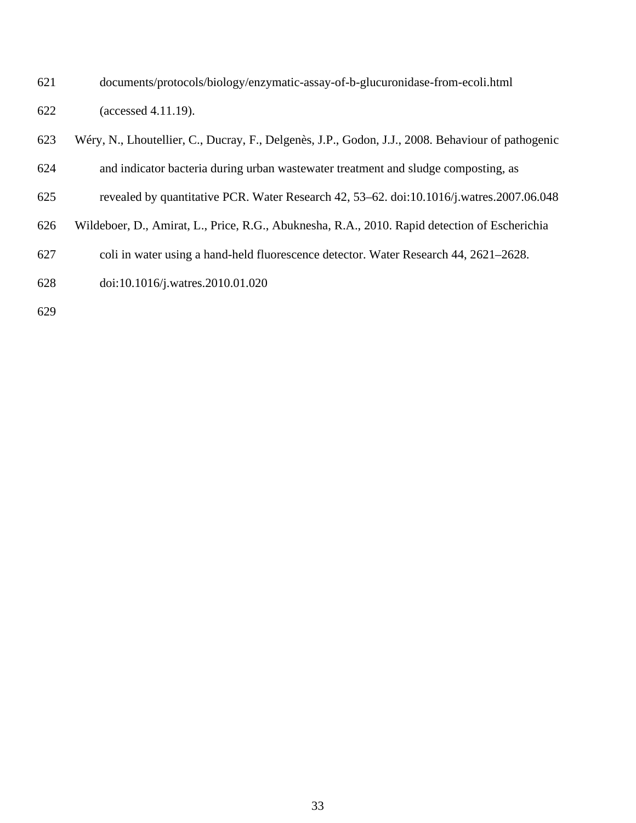- documents/protocols/biology/enzymatic-assay-of-b-glucuronidase-from-ecoli.html (accessed 4.11.19).
- Wéry, N., Lhoutellier, C., Ducray, F., Delgenès, J.P., Godon, J.J., 2008. Behaviour of pathogenic
- and indicator bacteria during urban wastewater treatment and sludge composting, as
- revealed by quantitative PCR. Water Research 42, 53–62. doi:10.1016/j.watres.2007.06.048
- Wildeboer, D., Amirat, L., Price, R.G., Abuknesha, R.A., 2010. Rapid detection of Escherichia
- coli in water using a hand-held fluorescence detector. Water Research 44, 2621–2628.
- doi:10.1016/j.watres.2010.01.020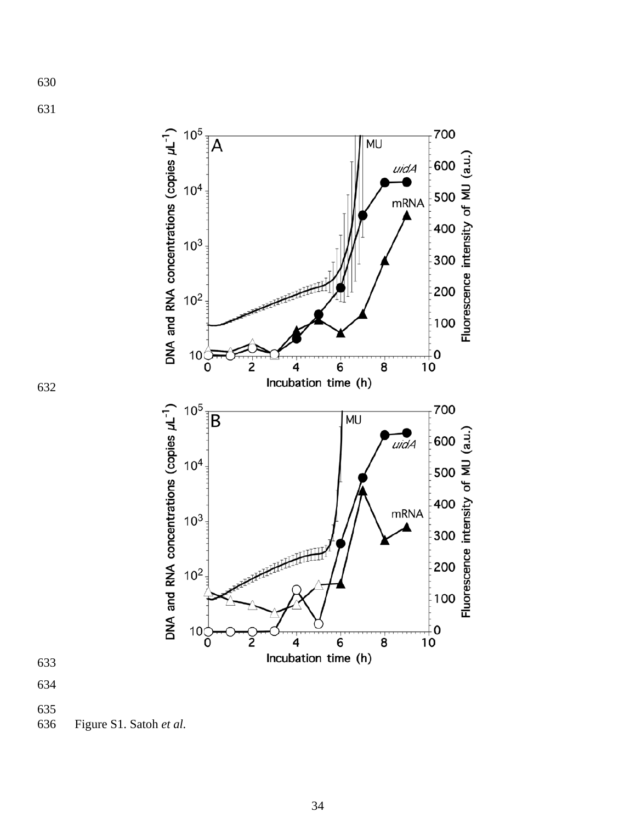





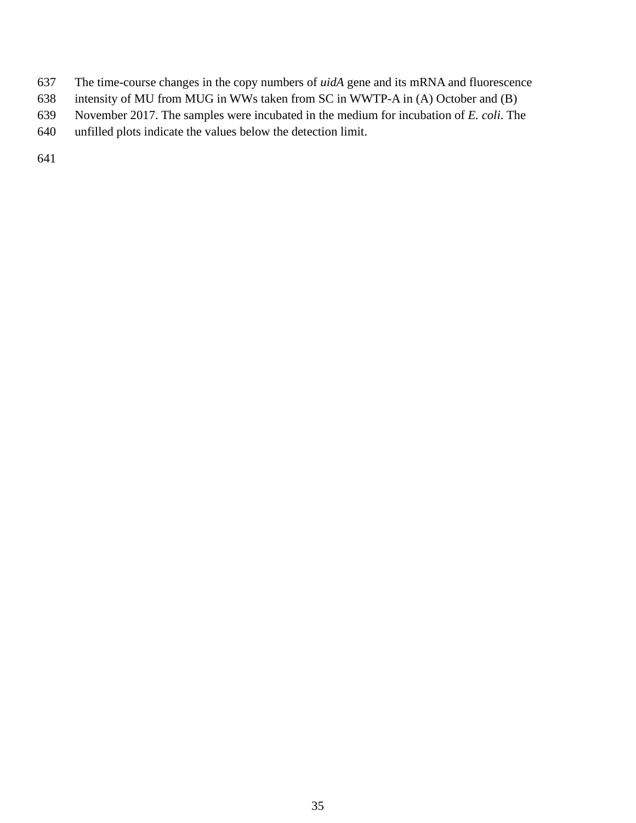- The time-course changes in the copy numbers of *uidA* gene and its mRNA and fluorescence
- intensity of MU from MUG in WWs taken from SC in WWTP-A in (A) October and (B)
- November 2017. The samples were incubated in the medium for incubation of *E. coli*. The
- unfilled plots indicate the values below the detection limit.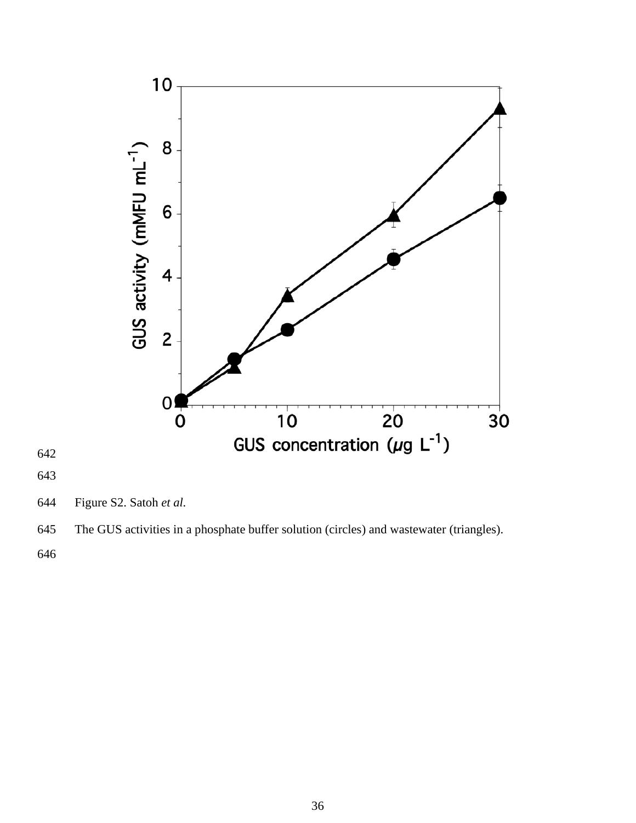

Figure S2. Satoh *et al.*

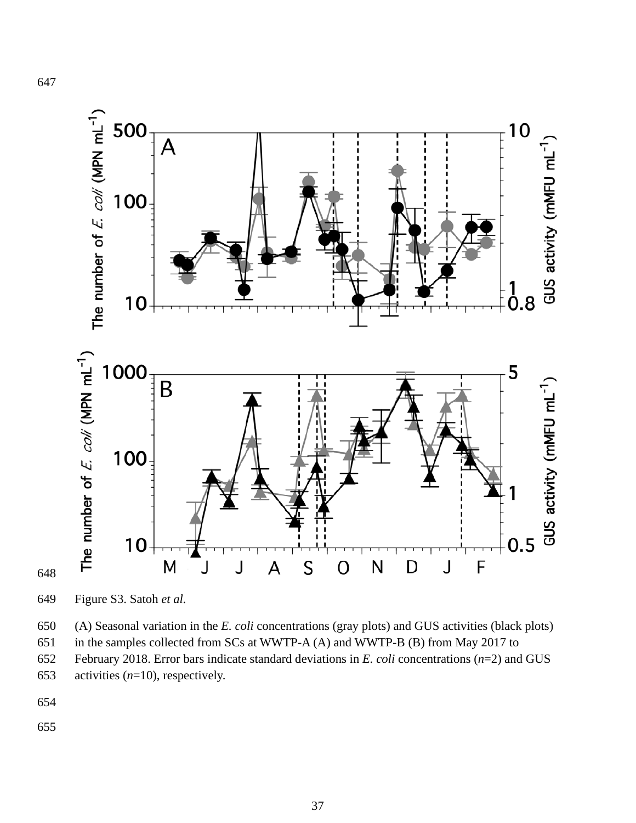



Figure S3. Satoh *et al.*

 (A) Seasonal variation in the *E. coli* concentrations (gray plots) and GUS activities (black plots) in the samples collected from SCs at WWTP-A (A) and WWTP-B (B) from May 2017 to February 2018. Error bars indicate standard deviations in *E. coli* concentrations (*n*=2) and GUS activities (*n*=10), respectively.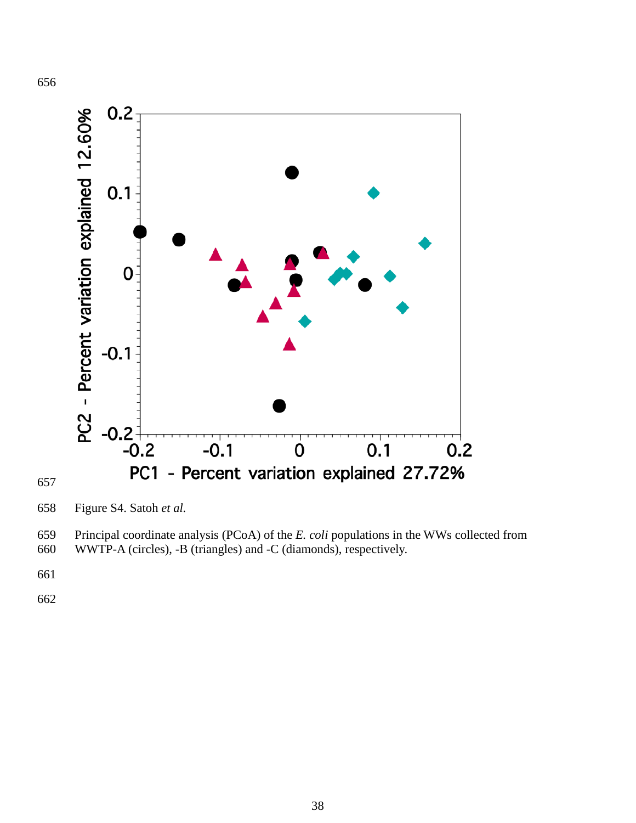



Figure S4. Satoh *et al.*

659 Principal coordinate analysis (PCoA) of the *E. coli* populations in the WWs collected from<br>660 WWTP-A (circles), -B (triangles) and -C (diamonds), respectively.

WWTP-A (circles), -B (triangles) and -C (diamonds), respectively.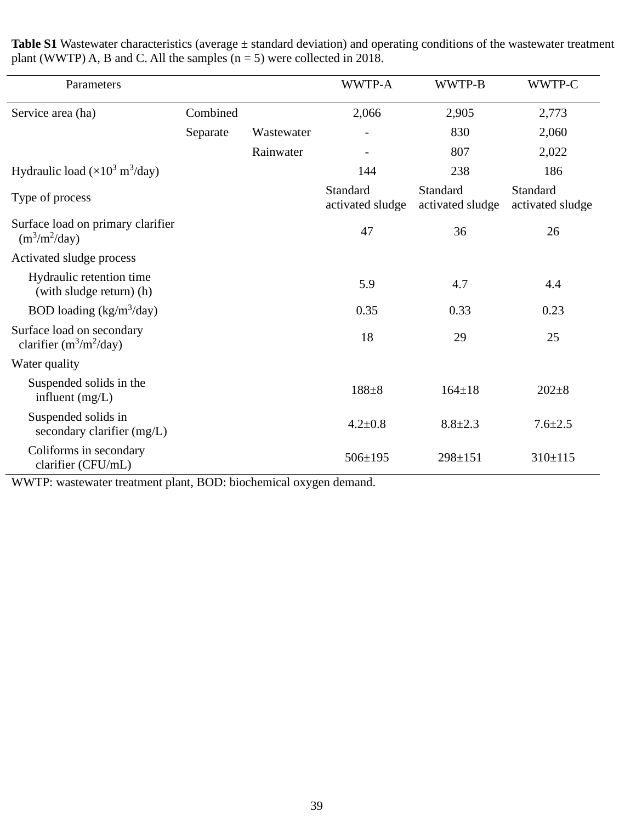| Parameters                                             |          |            | WWTP-A                       | WWTP-B                       | WWTP-C                       |
|--------------------------------------------------------|----------|------------|------------------------------|------------------------------|------------------------------|
| Service area (ha)                                      | Combined |            | 2,066                        | 2,905                        | 2,773                        |
|                                                        | Separate | Wastewater |                              | 830                          | 2,060                        |
|                                                        |          | Rainwater  |                              | 807                          | 2,022                        |
| Hydraulic load $(\times 10^3 \text{ m}^3/\text{day})$  |          |            | 144                          | 238                          | 186                          |
| Type of process                                        |          |            | Standard<br>activated sludge | Standard<br>activated sludge | Standard<br>activated sludge |
| Surface load on primary clarifier<br>$(m^3/m^2/day)$   |          |            | 47                           | 36                           | 26                           |
| Activated sludge process                               |          |            |                              |                              |                              |
| Hydraulic retention time<br>(with sludge return) (h)   |          |            | 5.9                          | 4.7                          | 4.4                          |
| BOD loading $(kg/m^3/day)$                             |          |            | 0.35                         | 0.33                         | 0.23                         |
| Surface load on secondary<br>clarifier $(m^3/m^2/day)$ |          |            | 18                           | 29                           | 25                           |
| Water quality                                          |          |            |                              |                              |                              |
| Suspended solids in the<br>influent $(mg/L)$           |          |            | $188 + 8$                    | $164 \pm 18$                 | $202 + 8$                    |
| Suspended solids in<br>secondary clarifier (mg/L)      |          |            | $4.2 \pm 0.8$                | $8.8 \pm 2.3$                | $7.6 \pm 2.5$                |
| Coliforms in secondary<br>clarifier (CFU/mL)           |          |            | $506 \pm 195$                | $298 \pm 151$                | 310±115                      |

Table S1 Wastewater characteristics (average  $\pm$  standard deviation) and operating conditions of the wastewater treatment plant (WWTP) A, B and C. All the samples  $(n = 5)$  were collected in 2018.

WWTP: wastewater treatment plant, BOD: biochemical oxygen demand.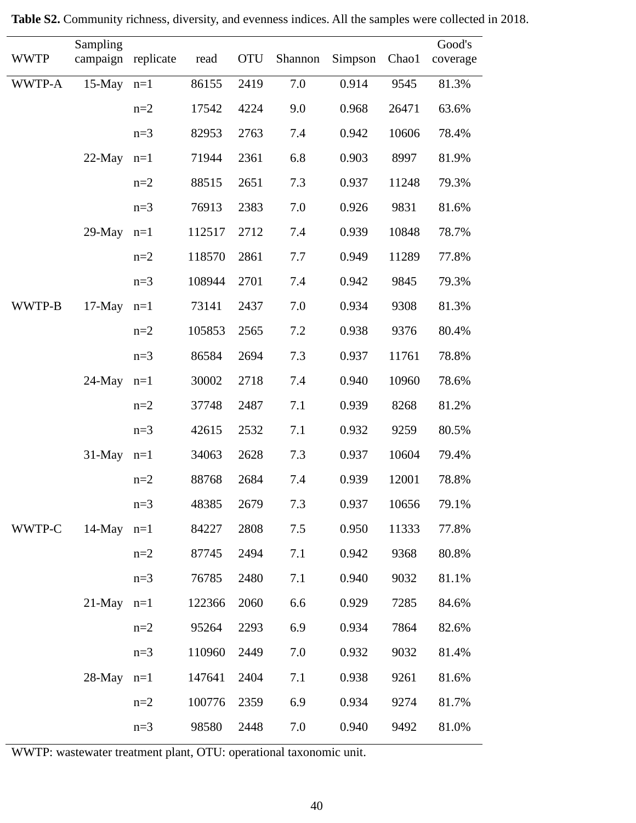| <b>WWTP</b> | Sampling<br>campaign | replicate | read   | <b>OTU</b> | Shannon | Simpson | Chao1 | Good's<br>coverage |
|-------------|----------------------|-----------|--------|------------|---------|---------|-------|--------------------|
| WWTP-A      | $15$ -May $n=1$      |           | 86155  | 2419       | 7.0     | 0.914   | 9545  | 81.3%              |
|             |                      | $n=2$     | 17542  | 4224       | 9.0     | 0.968   | 26471 | 63.6%              |
|             |                      | $n=3$     | 82953  | 2763       | 7.4     | 0.942   | 10606 | 78.4%              |
|             | $22-May$             | $n=1$     | 71944  | 2361       | 6.8     | 0.903   | 8997  | 81.9%              |
|             |                      | $n=2$     | 88515  | 2651       | 7.3     | 0.937   | 11248 | 79.3%              |
|             |                      | $n=3$     | 76913  | 2383       | 7.0     | 0.926   | 9831  | 81.6%              |
|             | $29$ -May            | $n=1$     | 112517 | 2712       | 7.4     | 0.939   | 10848 | 78.7%              |
|             |                      | $n=2$     | 118570 | 2861       | 7.7     | 0.949   | 11289 | 77.8%              |
|             |                      | $n=3$     | 108944 | 2701       | 7.4     | 0.942   | 9845  | 79.3%              |
| WWTP-B      | $17-May$             | $n=1$     | 73141  | 2437       | 7.0     | 0.934   | 9308  | 81.3%              |
|             |                      | $n=2$     | 105853 | 2565       | 7.2     | 0.938   | 9376  | 80.4%              |
|             |                      | $n=3$     | 86584  | 2694       | 7.3     | 0.937   | 11761 | 78.8%              |
|             | $24$ -May            | $n=1$     | 30002  | 2718       | 7.4     | 0.940   | 10960 | 78.6%              |
|             |                      | $n=2$     | 37748  | 2487       | 7.1     | 0.939   | 8268  | 81.2%              |
|             |                      | $n=3$     | 42615  | 2532       | 7.1     | 0.932   | 9259  | 80.5%              |
|             | $31$ -May            | $n=1$     | 34063  | 2628       | 7.3     | 0.937   | 10604 | 79.4%              |
|             |                      | $n=2$     | 88768  | 2684       | 7.4     | 0.939   | 12001 | 78.8%              |
|             |                      | $n=3$     | 48385  | 2679       | 7.3     | 0.937   | 10656 | 79.1%              |
| WWTP-C      | $14$ -May $n=1$      |           | 84227  | 2808       | 7.5     | 0.950   | 11333 | 77.8%              |
|             |                      | $n=2$     | 87745  | 2494       | 7.1     | 0.942   | 9368  | 80.8%              |
|             |                      | $n=3$     | 76785  | 2480       | 7.1     | 0.940   | 9032  | 81.1%              |
|             | $21$ -May $n=1$      |           | 122366 | 2060       | 6.6     | 0.929   | 7285  | 84.6%              |
|             |                      | $n=2$     | 95264  | 2293       | 6.9     | 0.934   | 7864  | 82.6%              |
|             |                      | $n=3$     | 110960 | 2449       | 7.0     | 0.932   | 9032  | 81.4%              |
|             | $28$ -May            | $n=1$     | 147641 | 2404       | 7.1     | 0.938   | 9261  | 81.6%              |
|             |                      | $n=2$     | 100776 | 2359       | 6.9     | 0.934   | 9274  | 81.7%              |
|             |                      | $n=3$     | 98580  | 2448       | 7.0     | 0.940   | 9492  | 81.0%              |

**Table S2.** Community richness, diversity, and evenness indices. All the samples were collected in 2018.

WWTP: wastewater treatment plant, OTU: operational taxonomic unit.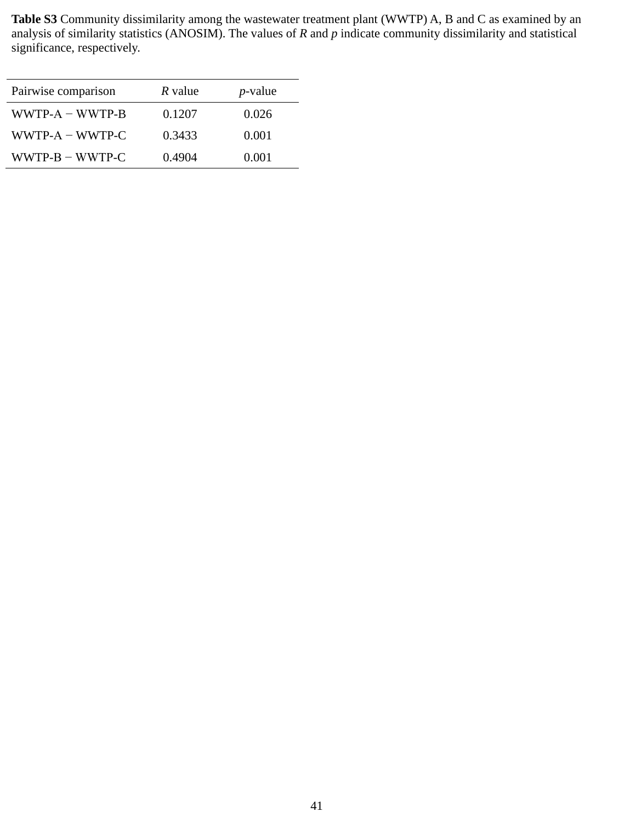**Table S3** Community dissimilarity among the wastewater treatment plant (WWTP) A, B and C as examined by an analysis of similarity statistics (ANOSIM). The values of *R* and *p* indicate community dissimilarity and statistical significance, respectively.

| Pairwise comparison | R value | <i>p</i> -value |
|---------------------|---------|-----------------|
| $WWTP-A-WWTP-B$     | 0.1207  | 0.026           |
| $WWTP-A-WWTP-C$     | 0.3433  | 0.001           |
| $WWTP-B-WWTP-C$     | 0.4904  | 0.001           |